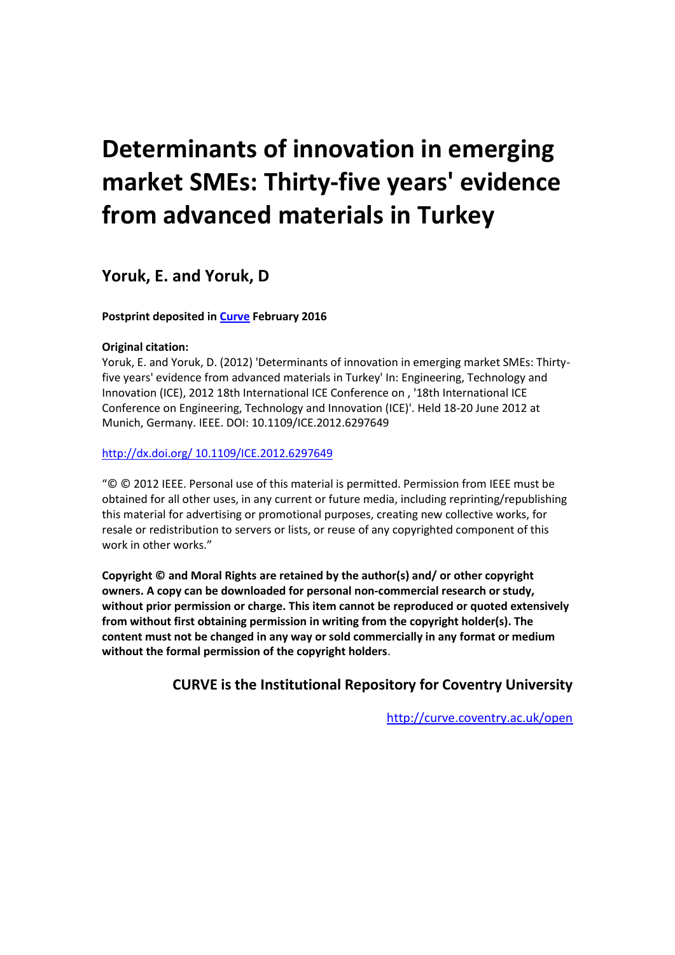# **Determinants of innovation in emerging market SMEs: Thirty-five years' evidence from advanced materials in Turkey**

# **Yoruk, E. and Yoruk, D**

## **Postprint deposited in [Curve](http://curve.coventry.ac.uk/open) February 2016**

## **Original citation:**

Yoruk, E. and Yoruk, D. (2012) 'Determinants of innovation in emerging market SMEs: Thirtyfive years' evidence from advanced materials in Turkey' In: Engineering, Technology and Innovation (ICE), 2012 18th International ICE Conference on , '18th International ICE Conference on Engineering, Technology and Innovation (ICE)'. Held 18-20 June 2012 at Munich, Germany. IEEE. DOI: 10.1109/ICE.2012.6297649

### http://dx.doi.org/ [10.1109/ICE.2012.6297649](http://dx.doi.org/%2010.1109/ICE.2012.6297649)

"© © 2012 IEEE. Personal use of this material is permitted. Permission from IEEE must be obtained for all other uses, in any current or future media, including reprinting/republishing this material for advertising or promotional purposes, creating new collective works, for resale or redistribution to servers or lists, or reuse of any copyrighted component of this work in other works."

**Copyright © and Moral Rights are retained by the author(s) and/ or other copyright owners. A copy can be downloaded for personal non-commercial research or study, without prior permission or charge. This item cannot be reproduced or quoted extensively from without first obtaining permission in writing from the copyright holder(s). The content must not be changed in any way or sold commercially in any format or medium without the formal permission of the copyright holders**.

# **CURVE is the Institutional Repository for Coventry University**

<http://curve.coventry.ac.uk/open>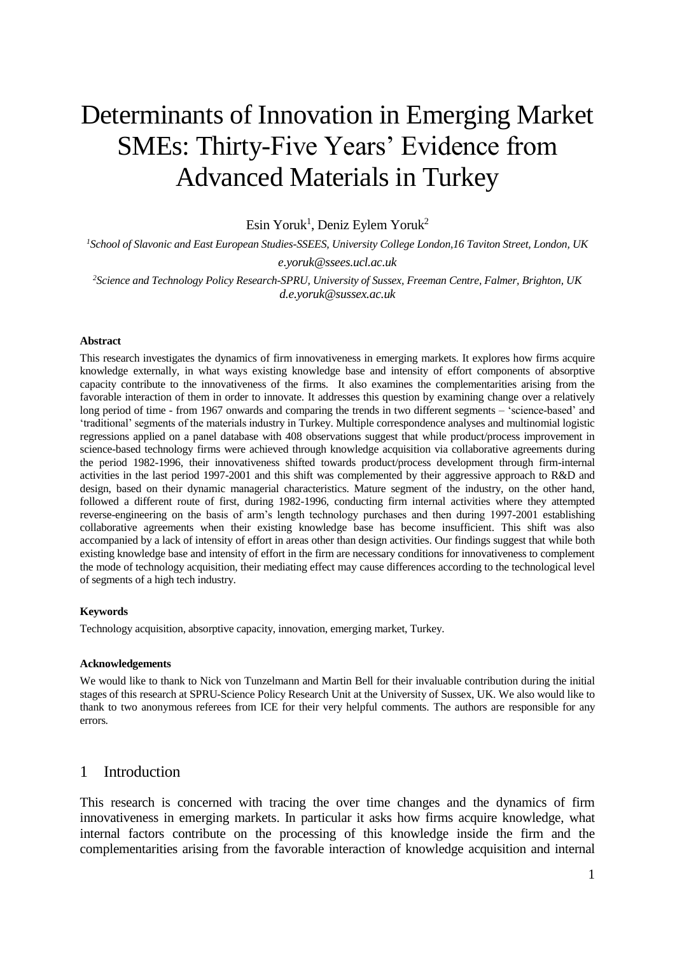# Determinants of Innovation in Emerging Market SMEs: Thirty-Five Years' Evidence from Advanced Materials in Turkey

Esin Yoruk<sup>1</sup>, Deniz Eylem Yoruk<sup>2</sup>

*<sup>1</sup>School of Slavonic and East European Studies-SSEES, University College London,16 Taviton Street, London, UK e.yoruk@ssees.ucl.ac.uk*

*<sup>2</sup>Science and Technology Policy Research-SPRU, University of Sussex, Freeman Centre, Falmer, Brighton, UK d.e.yoruk@sussex.ac.uk*

#### **Abstract**

This research investigates the dynamics of firm innovativeness in emerging markets. It explores how firms acquire knowledge externally, in what ways existing knowledge base and intensity of effort components of absorptive capacity contribute to the innovativeness of the firms. It also examines the complementarities arising from the favorable interaction of them in order to innovate. It addresses this question by examining change over a relatively long period of time - from 1967 onwards and comparing the trends in two different segments – 'science-based' and 'traditional' segments of the materials industry in Turkey. Multiple correspondence analyses and multinomial logistic regressions applied on a panel database with 408 observations suggest that while product/process improvement in science-based technology firms were achieved through knowledge acquisition via collaborative agreements during the period 1982-1996, their innovativeness shifted towards product/process development through firm-internal activities in the last period 1997-2001 and this shift was complemented by their aggressive approach to R&D and design, based on their dynamic managerial characteristics. Mature segment of the industry, on the other hand, followed a different route of first, during 1982-1996, conducting firm internal activities where they attempted reverse-engineering on the basis of arm's length technology purchases and then during 1997-2001 establishing collaborative agreements when their existing knowledge base has become insufficient. This shift was also accompanied by a lack of intensity of effort in areas other than design activities. Our findings suggest that while both existing knowledge base and intensity of effort in the firm are necessary conditions for innovativeness to complement the mode of technology acquisition, their mediating effect may cause differences according to the technological level of segments of a high tech industry.

#### **Keywords**

Technology acquisition, absorptive capacity, innovation, emerging market, Turkey.

#### **Acknowledgements**

We would like to thank to Nick von Tunzelmann and Martin Bell for their invaluable contribution during the initial stages of this research at SPRU-Science Policy Research Unit at the University of Sussex, UK. We also would like to thank to two anonymous referees from ICE for their very helpful comments. The authors are responsible for any errors.

## 1 Introduction

This research is concerned with tracing the over time changes and the dynamics of firm innovativeness in emerging markets. In particular it asks how firms acquire knowledge, what internal factors contribute on the processing of this knowledge inside the firm and the complementarities arising from the favorable interaction of knowledge acquisition and internal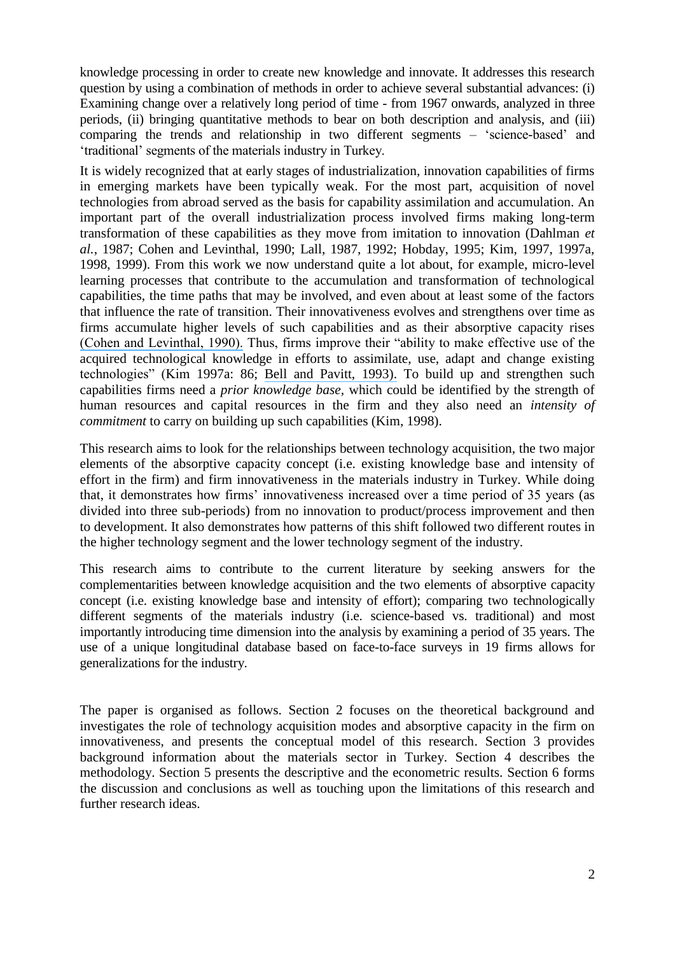knowledge processing in order to create new knowledge and innovate. It addresses this research question by using a combination of methods in order to achieve several substantial advances: (i) Examining change over a relatively long period of time - from 1967 onwards, analyzed in three periods, (ii) bringing quantitative methods to bear on both description and analysis, and (iii) comparing the trends and relationship in two different segments – 'science-based' and 'traditional' segments of the materials industry in Turkey.

It is widely recognized that at early stages of industrialization, innovation capabilities of firms in emerging markets have been typically weak. For the most part, acquisition of novel technologies from abroad served as the basis for capability assimilation and accumulation. An important part of the overall industrialization process involved firms making long-term transformation of these capabilities as they move from imitation to innovation (Dahlman *et al.*, 1987; Cohen and Levinthal, 1990; Lall, 1987, 1992; Hobday, 1995; Kim, 1997, 1997a, 1998, 1999). From this work we now understand quite a lot about, for example, micro-level learning processes that contribute to the accumulation and transformation of technological capabilities, the time paths that may be involved, and even about at least some of the factors that influence the rate of transition. Their innovativeness evolves and strengthens over time as firms accumulate higher levels of such capabilities and as their absorptive capacity rises [\(Cohen and Levinthal, 1990\).](https://www.researchgate.net/publication/220019726_) Thus, firms improve their "ability to make effective use of the acquired technological knowledge in efforts to assimilate, use, adapt and change existing technologies" (Kim 1997a: 86; [Bell and Pavitt, 1993\).](https://www.researchgate.net/publication/31462358_Technological_Accumulation_and_Industrial_Growth_Contrasts_Between_Developed_and_Developing_Countries?el=1_x_8&enrichId=rgreq-4903464d-8dc4-4b0b-b53a-b531437bb817&enrichSource=Y292ZXJQYWdlOzI1NzQ3MzYyNjtBUzoxNzM1NDQ5NzM1NDU0NzJAMTQxODM4Nzc1NDA1Mg==) To build up and strengthen such capabilities firms need a *prior knowledge base,* which could be identified by the strength of human resources and capital resources in the firm and they also need an *intensity of commitment* to carry on building up such capabilities (Kim, 1998).

This research aims to look for the relationships between technology acquisition, the two major elements of the absorptive capacity concept (i.e. existing knowledge base and intensity of effort in the firm) and firm innovativeness in the materials industry in Turkey. While doing that, it demonstrates how firms' innovativeness increased over a time period of 35 years (as divided into three sub-periods) from no innovation to product/process improvement and then to development. It also demonstrates how patterns of this shift followed two different routes in the higher technology segment and the lower technology segment of the industry.

This research aims to contribute to the current literature by seeking answers for the complementarities between knowledge acquisition and the two elements of absorptive capacity concept (i.e. existing knowledge base and intensity of effort); comparing two technologically different segments of the materials industry (i.e. science-based vs. traditional) and most importantly introducing time dimension into the analysis by examining a period of 35 years. The use of a unique longitudinal database based on face-to-face surveys in 19 firms allows for generalizations for the industry.

The paper is organised as follows. Section 2 focuses on the theoretical background and investigates the role of technology acquisition modes and absorptive capacity in the firm on innovativeness, and presents the conceptual model of this research. Section 3 provides background information about the materials sector in Turkey. Section 4 describes the methodology. Section 5 presents the descriptive and the econometric results. Section 6 forms the discussion and conclusions as well as touching upon the limitations of this research and further research ideas.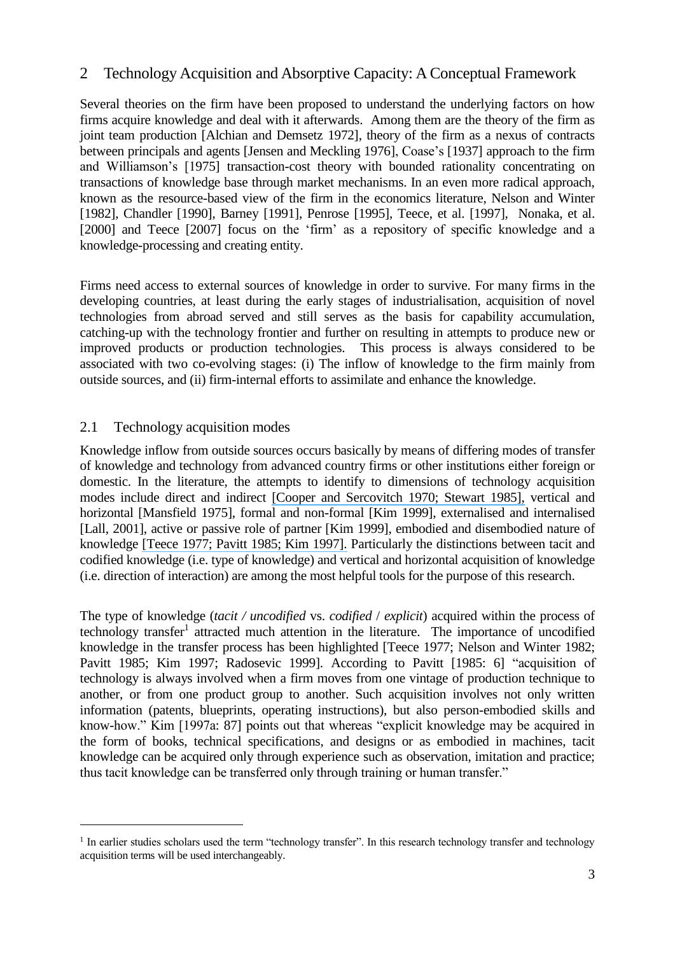# 2 Technology Acquisition and Absorptive Capacity: A Conceptual Framework

Several theories on the firm have been proposed to understand the underlying factors on how firms acquire knowledge and deal with it afterwards. Among them are the theory of the firm as joint team production [Alchian and Demsetz 1972], theory of the firm as a nexus of contracts between principals and agents [Jensen and Meckling 1976], Coase's [1937] approach to the firm and Williamson's [1975] transaction-cost theory with bounded rationality concentrating on transactions of knowledge base through market mechanisms. In an even more radical approach, known as the resource-based view of the firm in the economics literature, Nelson and Winter [1982], Chandler [1990], Barney [1991], Penrose [1995], Teece, et al. [1997], Nonaka, et al. [2000] and Teece [2007] focus on the 'firm' as a repository of specific knowledge and a knowledge-processing and creating entity.

Firms need access to external sources of knowledge in order to survive. For many firms in the developing countries, at least during the early stages of industrialisation, acquisition of novel technologies from abroad served and still serves as the basis for capability accumulation, catching-up with the technology frontier and further on resulting in attempts to produce new or improved products or production technologies. This process is always considered to be associated with two co-evolving stages: (i) The inflow of knowledge to the firm mainly from outside sources, and (ii) firm-internal efforts to assimilate and enhance the knowledge.

## 2.1 Technology acquisition modes

 $\overline{a}$ 

Knowledge inflow from outside sources occurs basically by means of differing modes of transfer of knowledge and technology from advanced country firms or other institutions either foreign or domestic. In the literature, the attempts to identify to dimensions of technology acquisition modes include direct and indirect [\[Cooper and Sercovitch 1970; Stewart 1985\],](https://www.researchgate.net/publication/5222240_International_Technology_Transfer_Major_Issues_and_Policy_Responses?el=1_x_8&enrichId=rgreq-4903464d-8dc4-4b0b-b53a-b531437bb817&enrichSource=Y292ZXJQYWdlOzI1NzQ3MzYyNjtBUzoxNzM1NDQ5NzM1NDU0NzJAMTQxODM4Nzc1NDA1Mg==) vertical and horizontal [Mansfield 1975], formal and non-formal [Kim 1999], externalised and internalised [Lall, 2001], active or passive role of partner [Kim 1999], embodied and disembodied nature of knowledge [Teece [1977; Pavitt 1985; Kim 1997\].](https://www.researchgate.net/publication/4891626_Technology_Transfer_by_Multinational_Firms_The_Resource_Cost_of_Transferring_Technological_Know-How?el=1_x_8&enrichId=rgreq-4903464d-8dc4-4b0b-b53a-b531437bb817&enrichSource=Y292ZXJQYWdlOzI1NzQ3MzYyNjtBUzoxNzM1NDQ5NzM1NDU0NzJAMTQxODM4Nzc1NDA1Mg==) Particularly the distinctions between tacit and codified knowledge (i.e. type of knowledge) and vertical and horizontal acquisition of knowledge (i.e. direction of interaction) are among the most helpful tools for the purpose of this research.

The type of knowledge (*tacit / uncodified* vs. *codified* / *explicit*) acquired within the process of technology transfer<sup>1</sup> attracted much attention in the literature. The importance of uncodified knowledge in the transfer process has been highlighted [Teece 1977; Nelson and Winter 1982; Pavitt 1985; Kim 1997; Radosevic 1999]. According to Pavitt [1985: 6] "acquisition of technology is always involved when a firm moves from one vintage of production technique to another, or from one product group to another. Such acquisition involves not only written information (patents, blueprints, operating instructions), but also person-embodied skills and know-how." Kim [1997a: 87] points out that whereas "explicit knowledge may be acquired in the form of books, technical specifications, and designs or as embodied in machines, tacit knowledge can be acquired only through experience such as observation, imitation and practice; thus tacit knowledge can be transferred only through training or human transfer."

<sup>&</sup>lt;sup>1</sup> In earlier studies scholars used the term "technology transfer". In this research technology transfer and technology acquisition terms will be used interchangeably.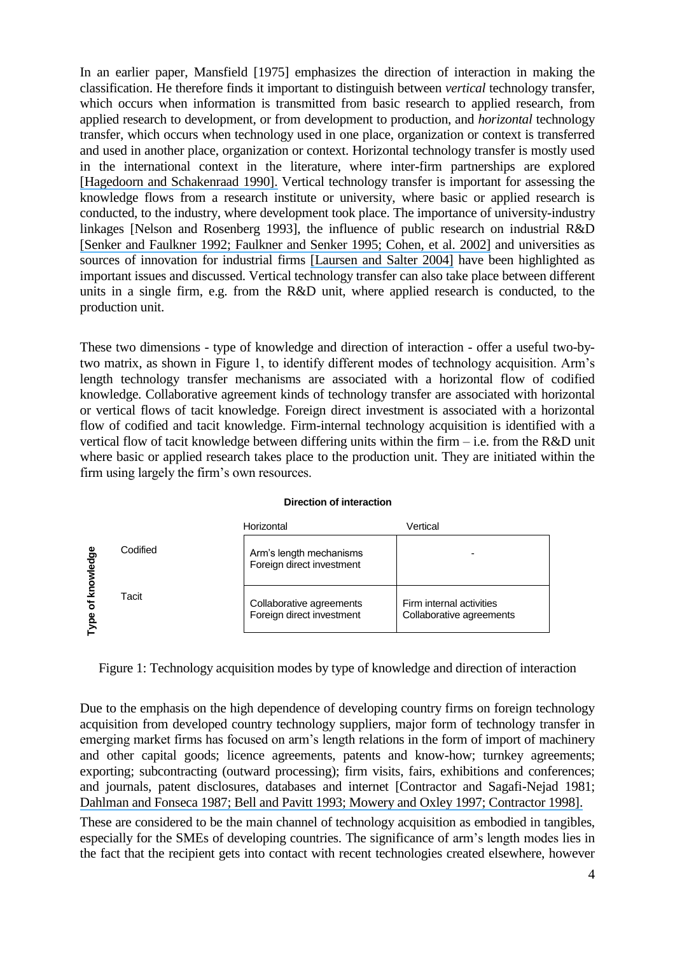In an earlier paper, Mansfield [1975] emphasizes the direction of interaction in making the classification. He therefore finds it important to distinguish between *vertical* technology transfer, which occurs when information is transmitted from basic research to applied research, from applied research to development, or from development to production, and *horizontal* technology transfer, which occurs when technology used in one place, organization or context is transferred and used in another place, organization or context. Horizontal technology transfer is mostly used in the international context in the literature, where inter-firm partnerships are explored [\[Hagedoorn and Schakenraad 1990\].](https://www.researchgate.net/publication/241873251_Inter-firm_partnerships_and_co-operative_strategies_in_core_technologies?el=1_x_8&enrichId=rgreq-4903464d-8dc4-4b0b-b53a-b531437bb817&enrichSource=Y292ZXJQYWdlOzI1NzQ3MzYyNjtBUzoxNzM1NDQ5NzM1NDU0NzJAMTQxODM4Nzc1NDA1Mg==) Vertical technology transfer is important for assessing the knowledge flows from a research institute or university, where basic or applied research is conducted, to the industry, where development took place. The importance of university-industry linkages [Nelson and Rosenberg 1993], the influence of public research on industrial R&D [\[Senker and Faulkner 1992; Faulkner and Senker 1995; Cohen, et al.](https://www.researchgate.net/publication/227447453_Links_and_Impacts_The_Influence_of_Public_Research_on_Industrial_RD?el=1_x_8&enrichId=rgreq-4903464d-8dc4-4b0b-b53a-b531437bb817&enrichSource=Y292ZXJQYWdlOzI1NzQ3MzYyNjtBUzoxNzM1NDQ5NzM1NDU0NzJAMTQxODM4Nzc1NDA1Mg==) 2002] and universities as sources of innovation for industrial firms [\[Laursen and Salter 2004\]](https://www.researchgate.net/publication/222688491_Searching_High_and_Low_What_Types_of_Firms_Use_Universities_as_a_Source_of_Innovation?el=1_x_8&enrichId=rgreq-4903464d-8dc4-4b0b-b53a-b531437bb817&enrichSource=Y292ZXJQYWdlOzI1NzQ3MzYyNjtBUzoxNzM1NDQ5NzM1NDU0NzJAMTQxODM4Nzc1NDA1Mg==) have been highlighted as important issues and discussed. Vertical technology transfer can also take place between different units in a single firm, e.g. from the R&D unit, where applied research is conducted, to the production unit.

These two dimensions - type of knowledge and direction of interaction - offer a useful two-bytwo matrix, as shown in Figure 1, to identify different modes of technology acquisition. Arm's length technology transfer mechanisms are associated with a horizontal flow of codified knowledge. Collaborative agreement kinds of technology transfer are associated with horizontal or vertical flows of tacit knowledge. Foreign direct investment is associated with a horizontal flow of codified and tacit knowledge. Firm-internal technology acquisition is identified with a vertical flow of tacit knowledge between differing units within the firm – i.e. from the R&D unit where basic or applied research takes place to the production unit. They are initiated within the firm using largely the firm's own resources.



#### **Direction of interaction**

Figure 1: Technology acquisition modes by type of knowledge and direction of interaction

Due to the emphasis on the high dependence of developing country firms on foreign technology acquisition from developed country technology suppliers, major form of technology transfer in emerging market firms has focused on arm's length relations in the form of import of machinery and other capital goods; licence agreements, patents and know-how; turnkey agreements; exporting; subcontracting (outward processing); firm visits, fairs, exhibitions and conferences; and journals, patent disclosures, databases and internet [Contractor and Sagafi-Nejad 1981; [Dahlman and Fonseca 1987;](https://www.researchgate.net/publication/31462358_Technological_Accumulation_and_Industrial_Growth_Contrasts_Between_Developed_and_Developing_Countries?el=1_x_8&enrichId=rgreq-4903464d-8dc4-4b0b-b53a-b531437bb817&enrichSource=Y292ZXJQYWdlOzI1NzQ3MzYyNjtBUzoxNzM1NDQ5NzM1NDU0NzJAMTQxODM4Nzc1NDA1Mg==) Bell and Pavitt 1993; Mowery and Oxley 1997; Contractor 1998].

These are considered to be the main channel of technology acquisition as embodied in tangibles, especially for the SMEs of developing countries. The significance of arm's length modes lies in the fact that the recipient gets into contact with recent technologies created elsewhere, however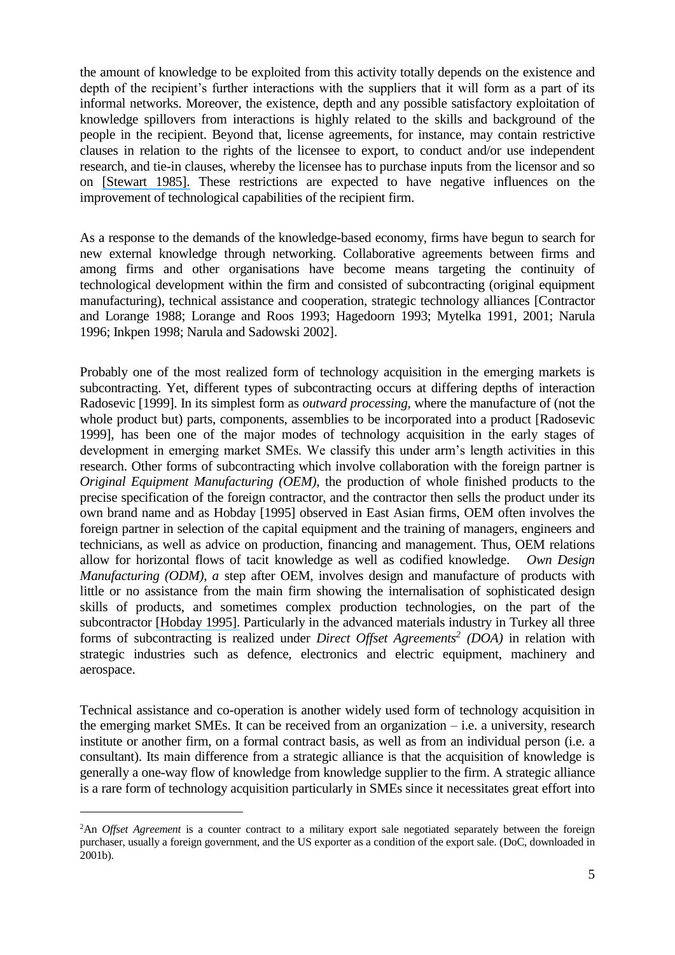the amount of knowledge to be exploited from this activity totally depends on the existence and depth of the recipient's further interactions with the suppliers that it will form as a part of its informal networks. Moreover, the existence, depth and any possible satisfactory exploitation of knowledge spillovers from interactions is highly related to the skills and background of the people in the recipient. Beyond that, license agreements, for instance, may contain restrictive clauses in relation to the rights of the licensee to export, to conduct and/or use independent research, and tie-in clauses, whereby the licensee has to purchase inputs from the licensor and so on [\[Stewart 1985\].](https://www.researchgate.net/publication/5222240_International_Technology_Transfer_Major_Issues_and_Policy_Responses?el=1_x_8&enrichId=rgreq-4903464d-8dc4-4b0b-b53a-b531437bb817&enrichSource=Y292ZXJQYWdlOzI1NzQ3MzYyNjtBUzoxNzM1NDQ5NzM1NDU0NzJAMTQxODM4Nzc1NDA1Mg==) These restrictions are expected to have negative influences on the improvement of technological capabilities of the recipient firm.

As a response to the demands of the knowledge-based economy, firms have begun to search for new external knowledge through networking. Collaborative agreements between firms and among firms and other organisations have become means targeting the continuity of technological development within the firm and consisted of subcontracting (original equipment manufacturing), technical assistance and cooperation, strategic technology alliances [Contractor and Lorange 1988; Lorange and Roos 1993; Hagedoorn 1993; Mytelka 1991, 2001; Narula 1996; Inkpen 1998; Narula and Sadowski 2002].

Probably one of the most realized form of technology acquisition in the emerging markets is subcontracting. Yet, different types of subcontracting occurs at differing depths of interaction Radosevic [1999]. In its simplest form as *outward processing,* where the manufacture of (not the whole product but) parts, components, assemblies to be incorporated into a product [Radosevic 1999], has been one of the major modes of technology acquisition in the early stages of development in emerging market SMEs. We classify this under arm's length activities in this research. Other forms of subcontracting which involve collaboration with the foreign partner is *Original Equipment Manufacturing (OEM)*, the production of whole finished products to the precise specification of the foreign contractor, and the contractor then sells the product under its own brand name and as Hobday [1995] observed in East Asian firms, OEM often involves the foreign partner in selection of the capital equipment and the training of managers, engineers and technicians, as well as advice on production, financing and management. Thus, OEM relations allow for horizontal flows of tacit knowledge as well as codified knowledge. *Own Design Manufacturing (ODM), a* step after OEM, involves design and manufacture of products with little or no assistance from the main firm showing the internalisation of sophisticated design skills of products, and sometimes complex production technologies, on the part of the subcontractor [\[Hobday](https://www.researchgate.net/publication/200465580_Innovation_in_East_Asia_The_Challenge_to_Japan?el=1_x_8&enrichId=rgreq-4903464d-8dc4-4b0b-b53a-b531437bb817&enrichSource=Y292ZXJQYWdlOzI1NzQ3MzYyNjtBUzoxNzM1NDQ5NzM1NDU0NzJAMTQxODM4Nzc1NDA1Mg==) 1995]. Particularly in the advanced materials industry in Turkey all three forms of subcontracting is realized under *Direct Offset Agreements<sup>2</sup> (DOA)* in relation with strategic industries such as defence, electronics and electric equipment, machinery and aerospace.

Technical assistance and co-operation is another widely used form of technology acquisition in the emerging market SMEs. It can be received from an organization – i.e. a university, research institute or another firm, on a formal contract basis, as well as from an individual person (i.e. a consultant). Its main difference from a strategic alliance is that the acquisition of knowledge is generally a one-way flow of knowledge from knowledge supplier to the firm. A strategic alliance is a rare form of technology acquisition particularly in SMEs since it necessitates great effort into

 $\overline{a}$ 

<sup>&</sup>lt;sup>2</sup>An *Offset Agreement* is a counter contract to a military export sale negotiated separately between the foreign purchaser, usually a foreign government, and the US exporter as a condition of the export sale. (DoC, downloaded in 2001b).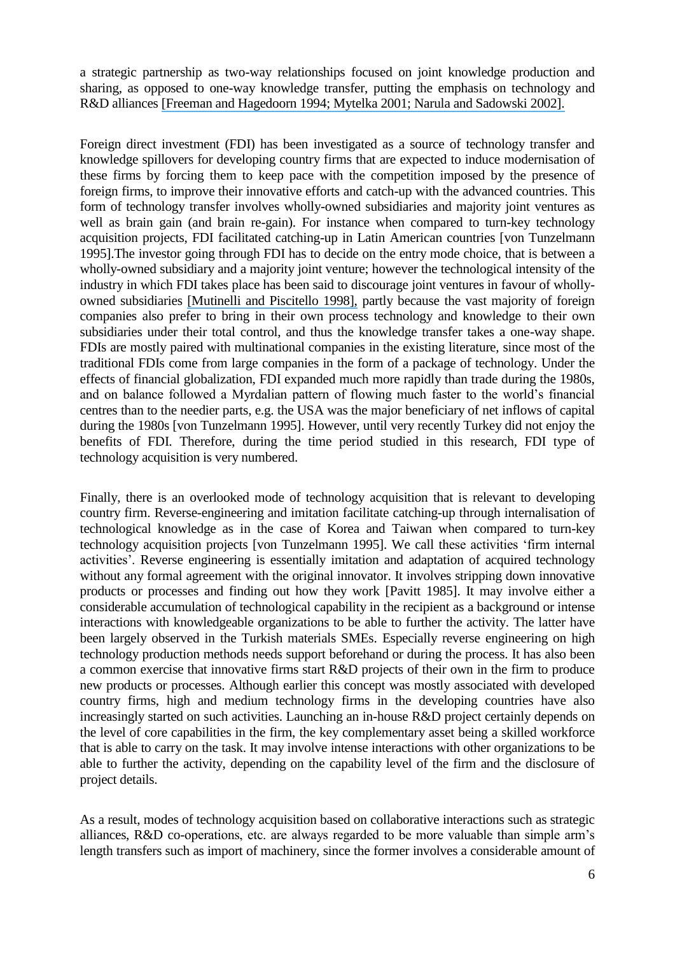a strategic partnership as two-way relationships focused on joint knowledge production and sharing, as opposed to one-way knowledge transfer, putting the emphasis on technology and R&D alliances [\[Freeman and Hagedoorn 1994; Mytelka 2001; Narula and Sadowski 2002\].](https://www.researchgate.net/publication/222459831_Catching_up_or_falling_behind_Patterns_in_international_interfirm_technology_partnering?el=1_x_8&enrichId=rgreq-4903464d-8dc4-4b0b-b53a-b531437bb817&enrichSource=Y292ZXJQYWdlOzI1NzQ3MzYyNjtBUzoxNzM1NDQ5NzM1NDU0NzJAMTQxODM4Nzc1NDA1Mg==)

Foreign direct investment (FDI) has been investigated as a source of technology transfer and knowledge spillovers for developing country firms that are expected to induce modernisation of these firms by forcing them to keep pace with the competition imposed by the presence of foreign firms, to improve their innovative efforts and catch-up with the advanced countries. This form of technology transfer involves wholly-owned subsidiaries and majority joint ventures as well as brain gain (and brain re-gain). For instance when compared to turn-key technology acquisition projects, FDI facilitated catching-up in Latin American countries [von Tunzelmann 1995].The investor going through FDI has to decide on the entry mode choice, that is between a wholly-owned subsidiary and a majority joint venture; however the technological intensity of the industry in which FDI takes place has been said to discourage joint ventures in favour of whollyowned subsidiaries [\[Mutinelli and Piscitello 1998\],](https://www.researchgate.net/publication/223952229_The_entry_mode_choice_of_MNEs_An_evolutionary_approach?el=1_x_8&enrichId=rgreq-4903464d-8dc4-4b0b-b53a-b531437bb817&enrichSource=Y292ZXJQYWdlOzI1NzQ3MzYyNjtBUzoxNzM1NDQ5NzM1NDU0NzJAMTQxODM4Nzc1NDA1Mg==) partly because the vast majority of foreign companies also prefer to bring in their own process technology and knowledge to their own subsidiaries under their total control, and thus the knowledge transfer takes a one-way shape. FDIs are mostly paired with multinational companies in the existing literature, since most of the traditional FDIs come from large companies in the form of a package of technology. Under the effects of financial globalization, FDI expanded much more rapidly than trade during the 1980s, and on balance followed a Myrdalian pattern of flowing much faster to the world's financial centres than to the needier parts, e.g. the USA was the major beneficiary of net inflows of capital during the 1980s [von Tunzelmann 1995]. However, until very recently Turkey did not enjoy the benefits of FDI. Therefore, during the time period studied in this research, FDI type of technology acquisition is very numbered.

Finally, there is an overlooked mode of technology acquisition that is relevant to developing country firm. Reverse-engineering and imitation facilitate catching-up through internalisation of technological knowledge as in the case of Korea and Taiwan when compared to turn-key technology acquisition projects [von Tunzelmann 1995]. We call these activities 'firm internal activities'. Reverse engineering is essentially imitation and adaptation of acquired technology without any formal agreement with the original innovator. It involves stripping down innovative products or processes and finding out how they work [Pavitt 1985]. It may involve either a considerable accumulation of technological capability in the recipient as a background or intense interactions with knowledgeable organizations to be able to further the activity. The latter have been largely observed in the Turkish materials SMEs. Especially reverse engineering on high technology production methods needs support beforehand or during the process. It has also been a common exercise that innovative firms start R&D projects of their own in the firm to produce new products or processes. Although earlier this concept was mostly associated with developed country firms, high and medium technology firms in the developing countries have also increasingly started on such activities. Launching an in-house R&D project certainly depends on the level of core capabilities in the firm, the key complementary asset being a skilled workforce that is able to carry on the task. It may involve intense interactions with other organizations to be able to further the activity, depending on the capability level of the firm and the disclosure of project details.

As a result, modes of technology acquisition based on collaborative interactions such as strategic alliances, R&D co-operations, etc. are always regarded to be more valuable than simple arm's length transfers such as import of machinery, since the former involves a considerable amount of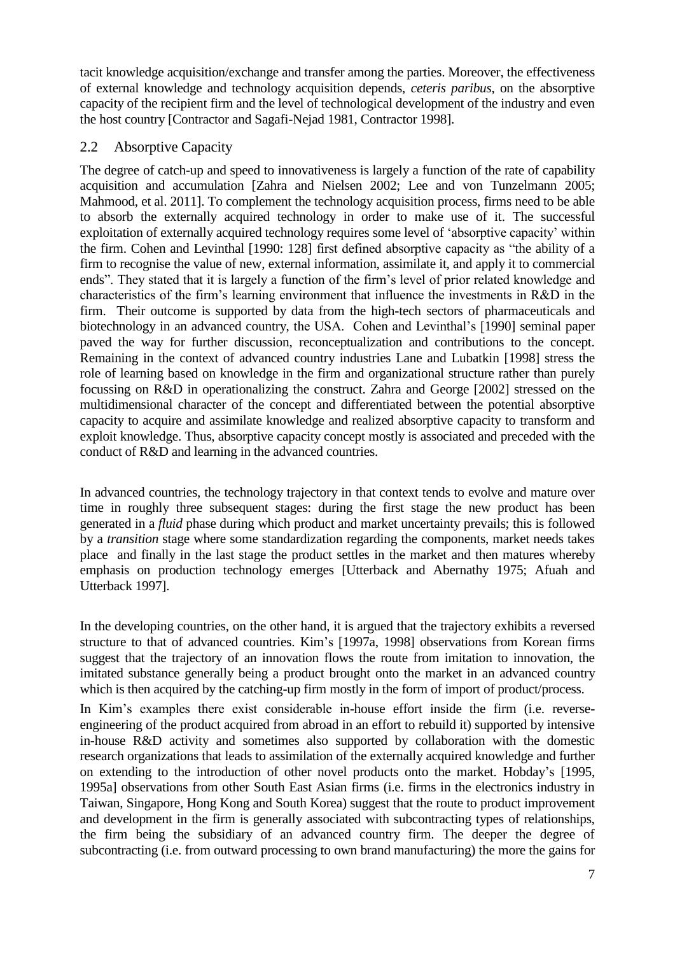tacit knowledge acquisition/exchange and transfer among the parties. Moreover, the effectiveness of external knowledge and technology acquisition depends, *ceteris paribus*, on the absorptive capacity of the recipient firm and the level of technological development of the industry and even the host country [Contractor and Sagafi-Nejad 1981, Contractor 1998].

# 2.2 Absorptive Capacity

The degree of catch-up and speed to innovativeness is largely a function of the rate of capability acquisition and accumulation [Zahra and Nielsen 2002; Lee and von Tunzelmann 2005; Mahmood, et al. 2011]. To complement the technology acquisition process, firms need to be able to absorb the externally acquired technology in order to make use of it. The successful exploitation of externally acquired technology requires some level of 'absorptive capacity' within the firm. Cohen and Levinthal [1990: 128] first defined absorptive capacity as "the ability of a firm to recognise the value of new, external information, assimilate it, and apply it to commercial ends". They stated that it is largely a function of the firm's level of prior related knowledge and characteristics of the firm's learning environment that influence the investments in R&D in the firm. Their outcome is supported by data from the high-tech sectors of pharmaceuticals and biotechnology in an advanced country, the USA. Cohen and Levinthal's [1990] seminal paper paved the way for further discussion, reconceptualization and contributions to the concept. Remaining in the context of advanced country industries Lane and Lubatkin [1998] stress the role of learning based on knowledge in the firm and organizational structure rather than purely focussing on R&D in operationalizing the construct. Zahra and George [2002] stressed on the multidimensional character of the concept and differentiated between the potential absorptive capacity to acquire and assimilate knowledge and realized absorptive capacity to transform and exploit knowledge. Thus, absorptive capacity concept mostly is associated and preceded with the conduct of R&D and learning in the advanced countries.

In advanced countries, the technology trajectory in that context tends to evolve and mature over time in roughly three subsequent stages: during the first stage the new product has been generated in a *fluid* phase during which product and market uncertainty prevails; this is followed by a *transition* stage where some standardization regarding the components, market needs takes place and finally in the last stage the product settles in the market and then matures whereby emphasis on production technology emerges [Utterback and Abernathy 1975; Afuah and Utterback 1997].

In the developing countries, on the other hand, it is argued that the trajectory exhibits a reversed structure to that of advanced countries. Kim's [1997a, 1998] observations from Korean firms suggest that the trajectory of an innovation flows the route from imitation to innovation, the imitated substance generally being a product brought onto the market in an advanced country which is then acquired by the catching-up firm mostly in the form of import of product/process.

In Kim's examples there exist considerable in-house effort inside the firm (i.e. reverseengineering of the product acquired from abroad in an effort to rebuild it) supported by intensive in-house R&D activity and sometimes also supported by collaboration with the domestic research organizations that leads to assimilation of the externally acquired knowledge and further on extending to the introduction of other novel products onto the market. Hobday's [1995, 1995a] observations from other South East Asian firms (i.e. firms in the electronics industry in Taiwan, Singapore, Hong Kong and South Korea) suggest that the route to product improvement and development in the firm is generally associated with subcontracting types of relationships, the firm being the subsidiary of an advanced country firm. The deeper the degree of subcontracting (i.e. from outward processing to own brand manufacturing) the more the gains for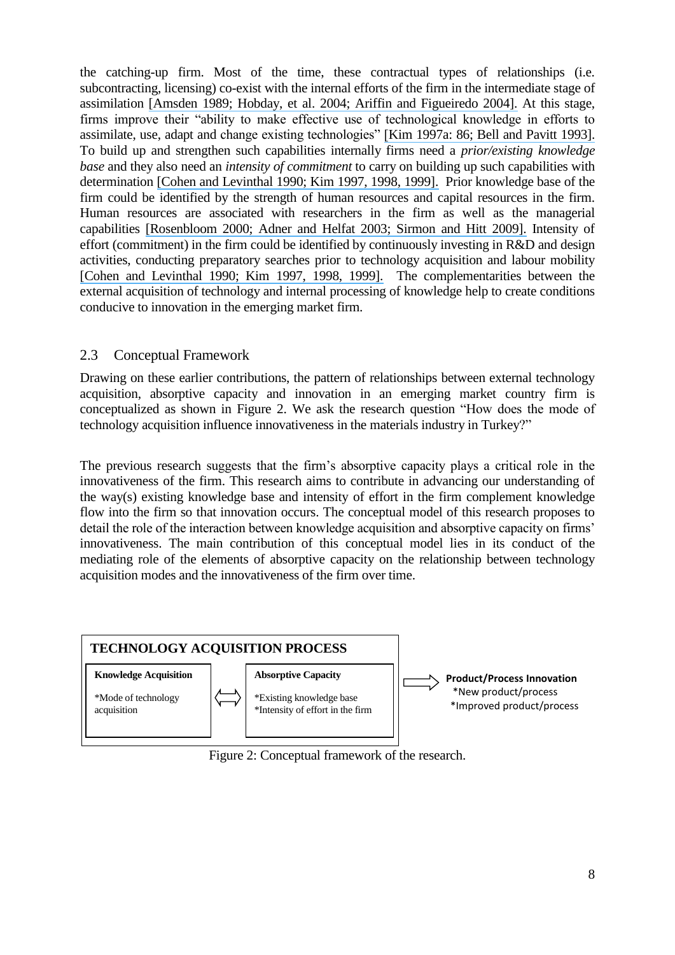the catching-up firm. Most of the time, these contractual types of relationships (i.e. subcontracting, licensing) co-exist with the internal efforts of the firm in the intermediate stage of assimilation [Amsden 1989; Hobday, [et al. 2004; Ariffin and Figueiredo 2004\].](https://www.researchgate.net/publication/44819561_Asia) At this stage, firms improve their "ability to make effective use of technological knowledge in efforts to assimilate, use, adapt and change existing technologies" [\[Kim 1997a: 86; Bell and Pavitt 1993\].](https://www.researchgate.net/publication/31462358_Technological_Accumulation_and_Industrial_Growth_Contrasts_Between_Developed_and_Developing_Countries?el=1_x_8&enrichId=rgreq-4903464d-8dc4-4b0b-b53a-b531437bb817&enrichSource=Y292ZXJQYWdlOzI1NzQ3MzYyNjtBUzoxNzM1NDQ5NzM1NDU0NzJAMTQxODM4Nzc1NDA1Mg==)  To build up and strengthen such capabilities internally firms need a *prior/existing knowledge base* and they also need an *intensity of commitment* to carry on building up such capabilities with determination [\[Cohen and Levinthal 1990; Kim 1997, 1998, 1999\].](https://www.researchgate.net/publication/220019726_) Prior knowledge base of the firm could be identified by the strength of human resources and capital resources in the firm. Human resources are associated with researchers in the firm as well as the managerial capabilities [\[Rosenbloom 2000; Adner and Helfat 2003; Sirmon and Hitt](https://www.researchgate.net/publication/246850966_Leadership_Capabilities_and_Technological_Change_The_Transformation_of_NCR_in_the_Electronic_Era?el=1_x_8&enrichId=rgreq-4903464d-8dc4-4b0b-b53a-b531437bb817&enrichSource=Y292ZXJQYWdlOzI1NzQ3MzYyNjtBUzoxNzM1NDQ5NzM1NDU0NzJAMTQxODM4Nzc1NDA1Mg==) 2009]. Intensity of effort (commitment) in the firm could be identified by continuously investing in R&D and design activities, conducting preparatory searches prior to technology acquisition and labour mobility [\[Cohen and Levinthal 1990; Kim](https://www.researchgate.net/publication/220019726_) 1997, 1998, 1999]. The complementarities between the external acquisition of technology and internal processing of knowledge help to create conditions conducive to innovation in the emerging market firm.

## 2.3 Conceptual Framework

Drawing on these earlier contributions, the pattern of relationships between external technology acquisition, absorptive capacity and innovation in an emerging market country firm is conceptualized as shown in Figure 2. We ask the research question "How does the mode of technology acquisition influence innovativeness in the materials industry in Turkey?"

The previous research suggests that the firm's absorptive capacity plays a critical role in the innovativeness of the firm. This research aims to contribute in advancing our understanding of the way(s) existing knowledge base and intensity of effort in the firm complement knowledge flow into the firm so that innovation occurs. The conceptual model of this research proposes to detail the role of the interaction between knowledge acquisition and absorptive capacity on firms' innovativeness. The main contribution of this conceptual model lies in its conduct of the mediating role of the elements of absorptive capacity on the relationship between technology acquisition modes and the innovativeness of the firm over time.



Figure 2: Conceptual framework of the research.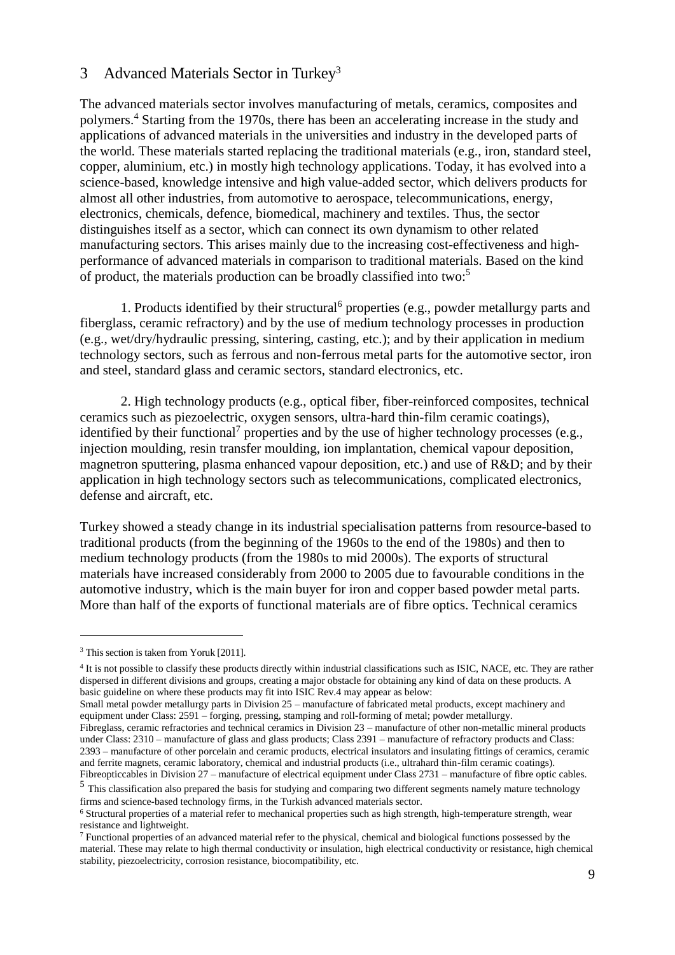# 3 Advanced Materials Sector in Turkey<sup>3</sup>

The advanced materials sector involves manufacturing of metals, ceramics, composites and polymers.<sup>4</sup> Starting from the 1970s, there has been an accelerating increase in the study and applications of advanced materials in the universities and industry in the developed parts of the world. These materials started replacing the traditional materials (e.g., iron, standard steel, copper, aluminium, etc.) in mostly high technology applications. Today, it has evolved into a science-based, knowledge intensive and high value-added sector, which delivers products for almost all other industries, from automotive to aerospace, telecommunications, energy, electronics, chemicals, defence, biomedical, machinery and textiles. Thus, the sector distinguishes itself as a sector, which can connect its own dynamism to other related manufacturing sectors. This arises mainly due to the increasing cost-effectiveness and highperformance of advanced materials in comparison to traditional materials. Based on the kind of product, the materials production can be broadly classified into two: 5

1. Products identified by their structural<sup>6</sup> properties (e.g., powder metallurgy parts and fiberglass, ceramic refractory) and by the use of medium technology processes in production (e.g., wet/dry/hydraulic pressing, sintering, casting, etc.); and by their application in medium technology sectors, such as ferrous and non-ferrous metal parts for the automotive sector, iron and steel, standard glass and ceramic sectors, standard electronics, etc.

2. High technology products (e.g., optical fiber, fiber-reinforced composites, technical ceramics such as piezoelectric, oxygen sensors, ultra-hard thin-film ceramic coatings), identified by their functional<sup>7</sup> properties and by the use of higher technology processes (e.g., injection moulding, resin transfer moulding, ion implantation, chemical vapour deposition, magnetron sputtering, plasma enhanced vapour deposition, etc.) and use of R&D; and by their application in high technology sectors such as telecommunications, complicated electronics, defense and aircraft, etc.

Turkey showed a steady change in its industrial specialisation patterns from resource-based to traditional products (from the beginning of the 1960s to the end of the 1980s) and then to medium technology products (from the 1980s to mid 2000s). The exports of structural materials have increased considerably from 2000 to 2005 due to favourable conditions in the automotive industry, which is the main buyer for iron and copper based powder metal parts. More than half of the exports of functional materials are of fibre optics. Technical ceramics

 $\overline{a}$ 

Small metal powder metallurgy parts in Division 25 – manufacture of fabricated metal products, except machinery and equipment under Class: 2591 – forging, pressing, stamping and roll-forming of metal; powder metallurgy.

Fibreglass, ceramic refractories and technical ceramics in Division 23 – manufacture of other non-metallic mineral products under Class: 2310 – manufacture of glass and glass products; Class 2391 – manufacture of refractory products and Class: 2393 – manufacture of other porcelain and ceramic products, electrical insulators and insulating fittings of ceramics, ceramic and ferrite magnets, ceramic laboratory, chemical and industrial products (i.e., ultrahard thin-film ceramic coatings). Fibreopticcables in Division 27 – manufacture of electrical equipment under Class 2731 – manufacture of fibre optic cables.

<sup>5</sup> This classification also prepared the basis for studying and comparing two different segments namely mature technology firms and science-based technology firms, in the Turkish advanced materials sector.

<sup>&</sup>lt;sup>3</sup> This section is taken from Yoruk [2011].

<sup>4</sup> It is not possible to classify these products directly within industrial classifications such as ISIC, NACE, etc. They are rather dispersed in different divisions and groups, creating a major obstacle for obtaining any kind of data on these products. A basic guideline on where these products may fit into ISIC Rev.4 may appear as below:

<sup>6</sup> Structural properties of a material refer to mechanical properties such as high strength, high-temperature strength, wear resistance and lightweight.

<sup>&</sup>lt;sup>7</sup> Functional properties of an advanced material refer to the physical, chemical and biological functions possessed by the material. These may relate to high thermal conductivity or insulation, high electrical conductivity or resistance, high chemical stability, piezoelectricity, corrosion resistance, biocompatibility, etc.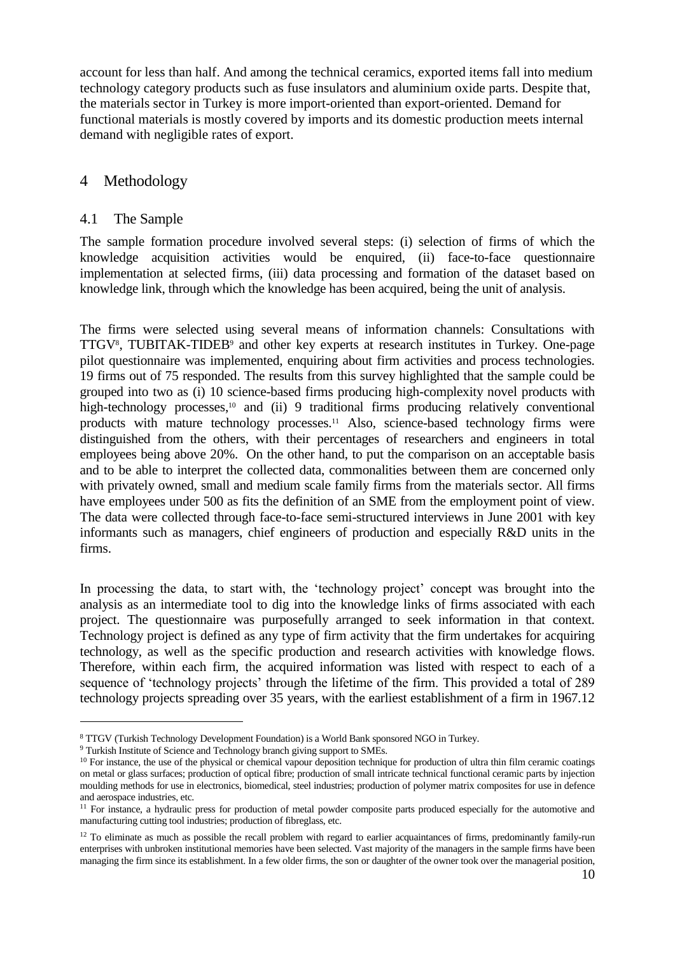account for less than half. And among the technical ceramics, exported items fall into medium technology category products such as fuse insulators and aluminium oxide parts. Despite that, the materials sector in Turkey is more import-oriented than export-oriented. Demand for functional materials is mostly covered by imports and its domestic production meets internal demand with negligible rates of export.

## 4 Methodology

## 4.1 The Sample

 $\overline{a}$ 

The sample formation procedure involved several steps: (i) selection of firms of which the knowledge acquisition activities would be enquired, (ii) face-to-face questionnaire implementation at selected firms, (iii) data processing and formation of the dataset based on knowledge link, through which the knowledge has been acquired, being the unit of analysis.

The firms were selected using several means of information channels: Consultations with TTGV<sup>8</sup>, TUBITAK-TIDEB<sup>9</sup> and other key experts at research institutes in Turkey. One-page pilot questionnaire was implemented, enquiring about firm activities and process technologies. 19 firms out of 75 responded. The results from this survey highlighted that the sample could be grouped into two as (i) 10 science-based firms producing high-complexity novel products with high-technology processes,<sup>10</sup> and (ii) 9 traditional firms producing relatively conventional products with mature technology processes.<sup>11</sup> Also, science-based technology firms were distinguished from the others, with their percentages of researchers and engineers in total employees being above 20%. On the other hand, to put the comparison on an acceptable basis and to be able to interpret the collected data, commonalities between them are concerned only with privately owned, small and medium scale family firms from the materials sector. All firms have employees under 500 as fits the definition of an SME from the employment point of view. The data were collected through face-to-face semi-structured interviews in June 2001 with key informants such as managers, chief engineers of production and especially R&D units in the firms.

In processing the data, to start with, the 'technology project' concept was brought into the analysis as an intermediate tool to dig into the knowledge links of firms associated with each project. The questionnaire was purposefully arranged to seek information in that context. Technology project is defined as any type of firm activity that the firm undertakes for acquiring technology, as well as the specific production and research activities with knowledge flows. Therefore, within each firm, the acquired information was listed with respect to each of a sequence of 'technology projects' through the lifetime of the firm. This provided a total of 289 technology projects spreading over 35 years, with the earliest establishment of a firm in 1967.12

<sup>8</sup> TTGV (Turkish Technology Development Foundation) is a World Bank sponsored NGO in Turkey.

<sup>&</sup>lt;sup>9</sup> Turkish Institute of Science and Technology branch giving support to SMEs.

<sup>&</sup>lt;sup>10</sup> For instance, the use of the physical or chemical vapour deposition technique for production of ultra thin film ceramic coatings on metal or glass surfaces; production of optical fibre; production of small intricate technical functional ceramic parts by injection moulding methods for use in electronics, biomedical, steel industries; production of polymer matrix composites for use in defence and aerospace industries, etc.

 $11$  For instance, a hydraulic press for production of metal powder composite parts produced especially for the automotive and manufacturing cutting tool industries; production of fibreglass, etc.

<sup>&</sup>lt;sup>12</sup> To eliminate as much as possible the recall problem with regard to earlier acquaintances of firms, predominantly family-run enterprises with unbroken institutional memories have been selected. Vast majority of the managers in the sample firms have been managing the firm since its establishment. In a few older firms, the son or daughter of the owner took over the managerial position,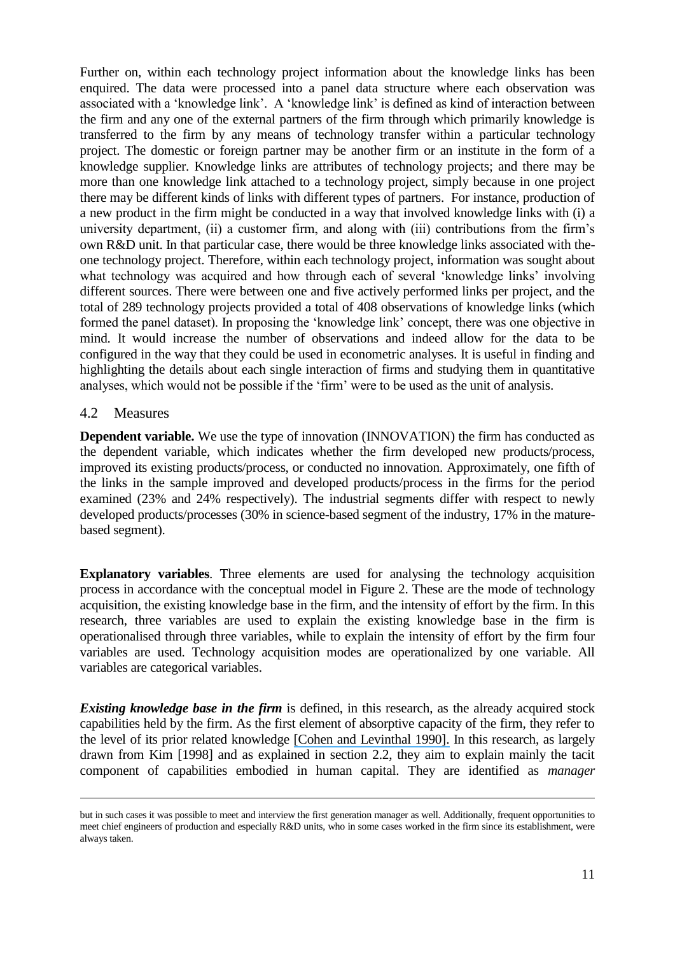Further on, within each technology project information about the knowledge links has been enquired. The data were processed into a panel data structure where each observation was associated with a 'knowledge link'. A 'knowledge link' is defined as kind of interaction between the firm and any one of the external partners of the firm through which primarily knowledge is transferred to the firm by any means of technology transfer within a particular technology project. The domestic or foreign partner may be another firm or an institute in the form of a knowledge supplier. Knowledge links are attributes of technology projects; and there may be more than one knowledge link attached to a technology project, simply because in one project there may be different kinds of links with different types of partners. For instance, production of a new product in the firm might be conducted in a way that involved knowledge links with (i) a university department, (ii) a customer firm, and along with (iii) contributions from the firm's own R&D unit. In that particular case, there would be three knowledge links associated with theone technology project. Therefore, within each technology project, information was sought about what technology was acquired and how through each of several 'knowledge links' involving different sources. There were between one and five actively performed links per project, and the total of 289 technology projects provided a total of 408 observations of knowledge links (which formed the panel dataset). In proposing the 'knowledge link' concept, there was one objective in mind. It would increase the number of observations and indeed allow for the data to be configured in the way that they could be used in econometric analyses. It is useful in finding and highlighting the details about each single interaction of firms and studying them in quantitative analyses, which would not be possible if the 'firm' were to be used as the unit of analysis.

## 4.2 Measures

 $\overline{a}$ 

**Dependent variable.** We use the type of innovation (INNOVATION) the firm has conducted as the dependent variable, which indicates whether the firm developed new products/process, improved its existing products/process, or conducted no innovation. Approximately, one fifth of the links in the sample improved and developed products/process in the firms for the period examined (23% and 24% respectively). The industrial segments differ with respect to newly developed products/processes (30% in science-based segment of the industry, 17% in the maturebased segment).

**Explanatory variables**. Three elements are used for analysing the technology acquisition process in accordance with the conceptual model in Figure 2. These are the mode of technology acquisition, the existing knowledge base in the firm, and the intensity of effort by the firm. In this research, three variables are used to explain the existing knowledge base in the firm is operationalised through three variables, while to explain the intensity of effort by the firm four variables are used. Technology acquisition modes are operationalized by one variable. All variables are categorical variables.

*Existing knowledge base in the firm* is defined, in this research, as the already acquired stock capabilities held by the firm. As the first element of absorptive capacity of the firm, they refer to the level of its prior related knowledge [\[Cohen and Levinthal 1990\].](https://www.researchgate.net/publication/220019726_) In this research, as largely drawn from Kim [1998] and as explained in section 2.2, they aim to explain mainly the tacit component of capabilities embodied in human capital. They are identified as *manager* 

but in such cases it was possible to meet and interview the first generation manager as well. Additionally, frequent opportunities to meet chief engineers of production and especially R&D units, who in some cases worked in the firm since its establishment, were always taken.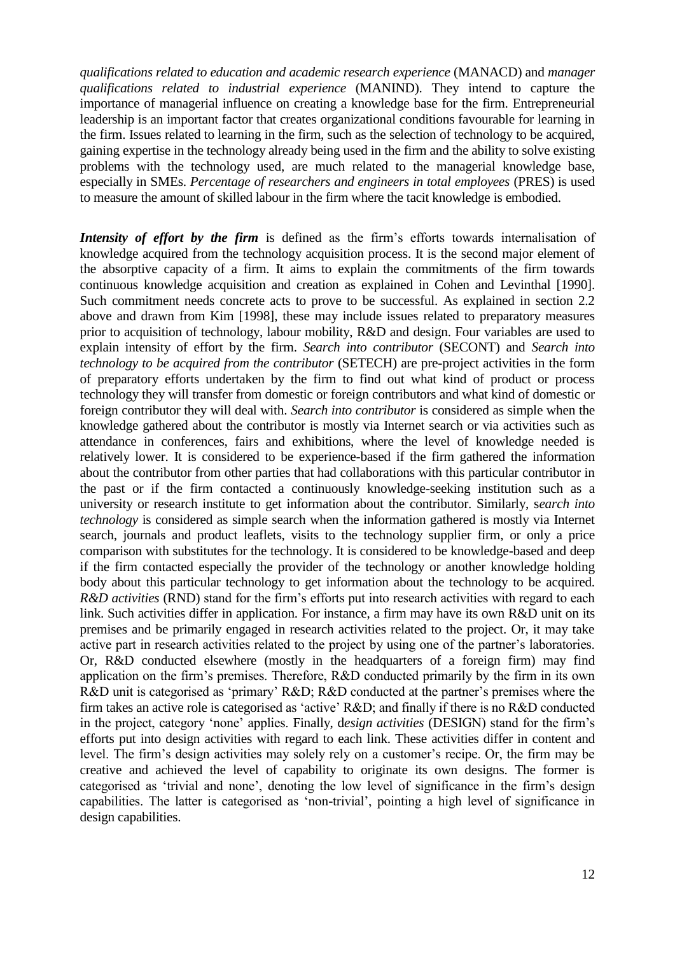*qualifications related to education and academic research experience* (MANACD) and *manager qualifications related to industrial experience* (MANIND). They intend to capture the importance of managerial influence on creating a knowledge base for the firm. Entrepreneurial leadership is an important factor that creates organizational conditions favourable for learning in the firm. Issues related to learning in the firm, such as the selection of technology to be acquired, gaining expertise in the technology already being used in the firm and the ability to solve existing problems with the technology used, are much related to the managerial knowledge base, especially in SMEs. *Percentage of researchers and engineers in total employees* (PRES) is used to measure the amount of skilled labour in the firm where the tacit knowledge is embodied.

*Intensity of effort by the firm* is defined as the firm's efforts towards internalisation of knowledge acquired from the technology acquisition process. It is the second major element of the absorptive capacity of a firm. It aims to explain the commitments of the firm towards continuous knowledge acquisition and creation as explained in Cohen and Levinthal [1990]. Such commitment needs concrete acts to prove to be successful. As explained in section 2.2 above and drawn from Kim [1998], these may include issues related to preparatory measures prior to acquisition of technology, labour mobility, R&D and design. Four variables are used to explain intensity of effort by the firm. *Search into contributor* (SECONT) and *Search into technology to be acquired from the contributor* (SETECH) are pre-project activities in the form of preparatory efforts undertaken by the firm to find out what kind of product or process technology they will transfer from domestic or foreign contributors and what kind of domestic or foreign contributor they will deal with. *Search into contributor* is considered as simple when the knowledge gathered about the contributor is mostly via Internet search or via activities such as attendance in conferences, fairs and exhibitions, where the level of knowledge needed is relatively lower. It is considered to be experience-based if the firm gathered the information about the contributor from other parties that had collaborations with this particular contributor in the past or if the firm contacted a continuously knowledge-seeking institution such as a university or research institute to get information about the contributor. Similarly, s*earch into technology* is considered as simple search when the information gathered is mostly via Internet search, journals and product leaflets, visits to the technology supplier firm, or only a price comparison with substitutes for the technology. It is considered to be knowledge-based and deep if the firm contacted especially the provider of the technology or another knowledge holding body about this particular technology to get information about the technology to be acquired. *R&D activities* (RND) stand for the firm's efforts put into research activities with regard to each link. Such activities differ in application. For instance, a firm may have its own R&D unit on its premises and be primarily engaged in research activities related to the project. Or, it may take active part in research activities related to the project by using one of the partner's laboratories. Or, R&D conducted elsewhere (mostly in the headquarters of a foreign firm) may find application on the firm's premises. Therefore, R&D conducted primarily by the firm in its own R&D unit is categorised as 'primary' R&D; R&D conducted at the partner's premises where the firm takes an active role is categorised as 'active' R&D; and finally if there is no R&D conducted in the project, category 'none' applies. Finally, d*esign activities* (DESIGN) stand for the firm's efforts put into design activities with regard to each link. These activities differ in content and level. The firm's design activities may solely rely on a customer's recipe. Or, the firm may be creative and achieved the level of capability to originate its own designs. The former is categorised as 'trivial and none', denoting the low level of significance in the firm's design capabilities. The latter is categorised as 'non-trivial', pointing a high level of significance in design capabilities.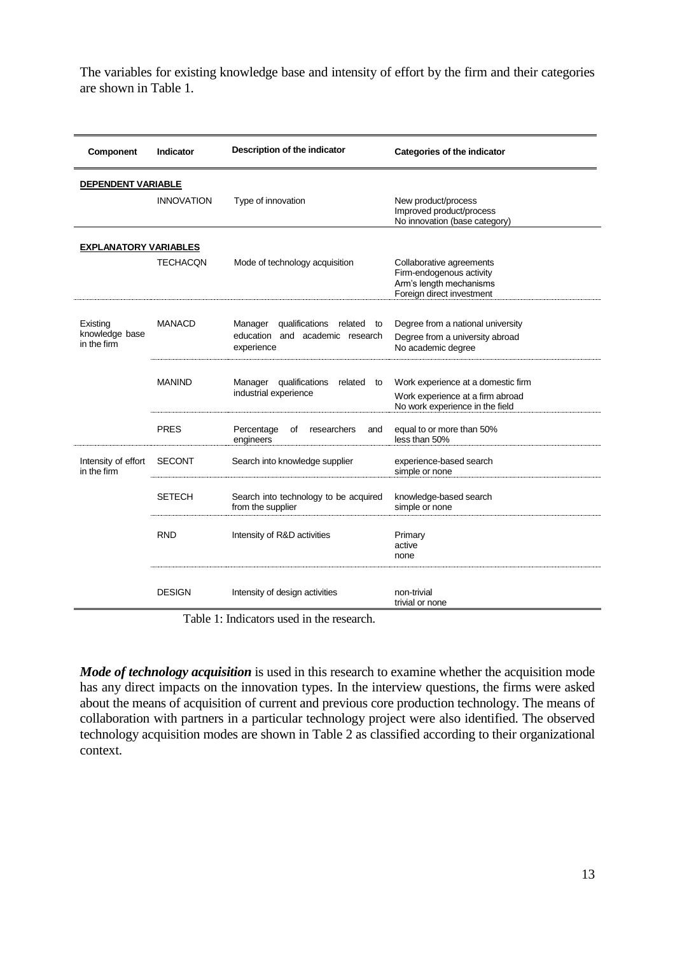The variables for existing knowledge base and intensity of effort by the firm and their categories are shown in Table 1.

| <b>Component</b>                          | Indicator         | Description of the indicator                                                          | Categories of the indicator                                                                                  |  |  |  |  |
|-------------------------------------------|-------------------|---------------------------------------------------------------------------------------|--------------------------------------------------------------------------------------------------------------|--|--|--|--|
| DEPENDENT VARIABLE                        | <b>INNOVATION</b> | Type of innovation                                                                    | New product/process<br>Improved product/process<br>No innovation (base category)                             |  |  |  |  |
| <b>EXPLANATORY VARIABLES</b>              | <b>TECHACON</b>   | Mode of technology acquisition                                                        | Collaborative agreements<br>Firm-endogenous activity<br>Arm's length mechanisms<br>Foreign direct investment |  |  |  |  |
| Existing<br>knowledge base<br>in the firm | <b>MANACD</b>     | Manager<br>qualifications related to<br>education and academic research<br>experience | Degree from a national university<br>Degree from a university abroad<br>No academic degree                   |  |  |  |  |
|                                           | <b>MANIND</b>     | Manager qualifications<br>related<br>to<br>industrial experience                      | Work experience at a domestic firm<br>Work experience at a firm abroad<br>No work experience in the field    |  |  |  |  |
|                                           | <b>PRES</b>       | Percentage<br>researchers<br>of<br>and<br>engineers                                   | equal to or more than 50%<br>less than 50%                                                                   |  |  |  |  |
| Intensity of effort<br>in the firm        | <b>SECONT</b>     | Search into knowledge supplier                                                        | experience-based search<br>simple or none                                                                    |  |  |  |  |
|                                           | SETECH            | Search into technology to be acquired<br>from the supplier                            | knowledge-based search<br>simple or none                                                                     |  |  |  |  |
|                                           | <b>RND</b>        | Intensity of R&D activities                                                           | Primary<br>active<br>none                                                                                    |  |  |  |  |
|                                           | <b>DESIGN</b>     | Intensity of design activities                                                        | non-trivial<br>trivial or none                                                                               |  |  |  |  |

Table 1: Indicators used in the research.

*Mode of technology acquisition* is used in this research to examine whether the acquisition mode has any direct impacts on the innovation types. In the interview questions, the firms were asked about the means of acquisition of current and previous core production technology. The means of collaboration with partners in a particular technology project were also identified. The observed technology acquisition modes are shown in Table 2 as classified according to their organizational context.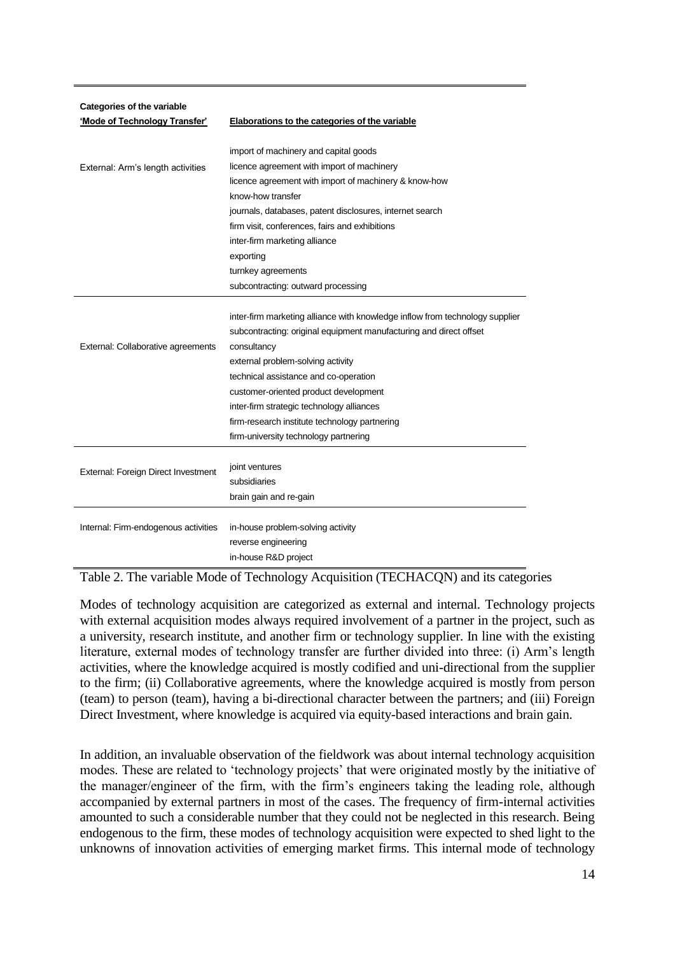| Categories of the variable           |                                                                              |  |  |  |  |  |  |
|--------------------------------------|------------------------------------------------------------------------------|--|--|--|--|--|--|
| 'Mode of Technology Transfer'        | Elaborations to the categories of the variable                               |  |  |  |  |  |  |
|                                      |                                                                              |  |  |  |  |  |  |
|                                      | import of machinery and capital goods                                        |  |  |  |  |  |  |
| External: Arm's length activities    | licence agreement with import of machinery                                   |  |  |  |  |  |  |
|                                      | licence agreement with import of machinery & know-how                        |  |  |  |  |  |  |
|                                      | know-how transfer                                                            |  |  |  |  |  |  |
|                                      | journals, databases, patent disclosures, internet search                     |  |  |  |  |  |  |
|                                      | firm visit, conferences, fairs and exhibitions                               |  |  |  |  |  |  |
|                                      | inter-firm marketing alliance                                                |  |  |  |  |  |  |
|                                      | exporting                                                                    |  |  |  |  |  |  |
|                                      | turnkey agreements                                                           |  |  |  |  |  |  |
|                                      | subcontracting: outward processing                                           |  |  |  |  |  |  |
|                                      |                                                                              |  |  |  |  |  |  |
|                                      | inter-firm marketing alliance with knowledge inflow from technology supplier |  |  |  |  |  |  |
|                                      | subcontracting: original equipment manufacturing and direct offset           |  |  |  |  |  |  |
| External: Collaborative agreements   | consultancy                                                                  |  |  |  |  |  |  |
|                                      | external problem-solving activity                                            |  |  |  |  |  |  |
|                                      | technical assistance and co-operation                                        |  |  |  |  |  |  |
|                                      | customer-oriented product development                                        |  |  |  |  |  |  |
|                                      | inter-firm strategic technology alliances                                    |  |  |  |  |  |  |
|                                      | firm-research institute technology partnering                                |  |  |  |  |  |  |
|                                      | firm-university technology partnering                                        |  |  |  |  |  |  |
|                                      |                                                                              |  |  |  |  |  |  |
| External: Foreign Direct Investment  | joint ventures                                                               |  |  |  |  |  |  |
|                                      | subsidiaries                                                                 |  |  |  |  |  |  |
|                                      | brain gain and re-gain                                                       |  |  |  |  |  |  |
|                                      |                                                                              |  |  |  |  |  |  |
| Internal: Firm-endogenous activities | in-house problem-solving activity                                            |  |  |  |  |  |  |
|                                      | reverse engineering                                                          |  |  |  |  |  |  |
|                                      | in-house R&D project                                                         |  |  |  |  |  |  |

Table 2. The variable Mode of Technology Acquisition (TECHACQN) and its categories

Modes of technology acquisition are categorized as external and internal. Technology projects with external acquisition modes always required involvement of a partner in the project, such as a university, research institute, and another firm or technology supplier. In line with the existing literature, external modes of technology transfer are further divided into three: (i) Arm's length activities, where the knowledge acquired is mostly codified and uni-directional from the supplier to the firm; (ii) Collaborative agreements, where the knowledge acquired is mostly from person (team) to person (team), having a bi-directional character between the partners; and (iii) Foreign Direct Investment, where knowledge is acquired via equity-based interactions and brain gain.

In addition, an invaluable observation of the fieldwork was about internal technology acquisition modes. These are related to 'technology projects' that were originated mostly by the initiative of the manager/engineer of the firm, with the firm's engineers taking the leading role, although accompanied by external partners in most of the cases. The frequency of firm-internal activities amounted to such a considerable number that they could not be neglected in this research. Being endogenous to the firm, these modes of technology acquisition were expected to shed light to the unknowns of innovation activities of emerging market firms. This internal mode of technology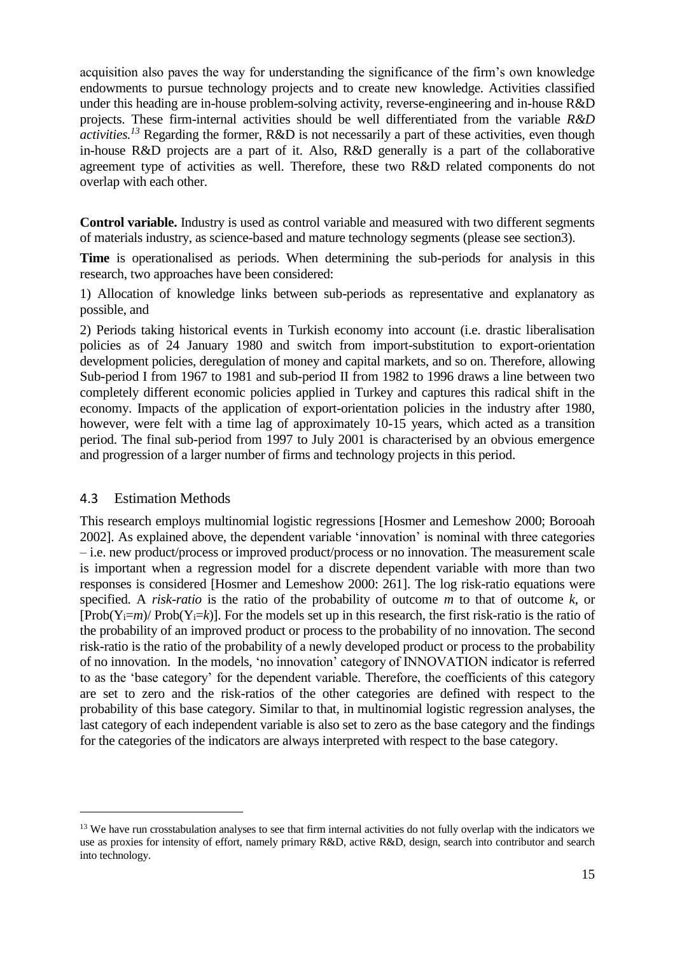acquisition also paves the way for understanding the significance of the firm's own knowledge endowments to pursue technology projects and to create new knowledge. Activities classified under this heading are in-house problem-solving activity, reverse-engineering and in-house R&D projects. These firm-internal activities should be well differentiated from the variable *R&D activities.<sup>13</sup>* Regarding the former, R&D is not necessarily a part of these activities, even though in-house R&D projects are a part of it. Also, R&D generally is a part of the collaborative agreement type of activities as well. Therefore, these two R&D related components do not overlap with each other.

**Control variable.** Industry is used as control variable and measured with two different segments of materials industry, as science-based and mature technology segments (please see section3).

**Time** is operationalised as periods. When determining the sub-periods for analysis in this research, two approaches have been considered:

1) Allocation of knowledge links between sub-periods as representative and explanatory as possible, and

2) Periods taking historical events in Turkish economy into account (i.e. drastic liberalisation policies as of 24 January 1980 and switch from import-substitution to export-orientation development policies, deregulation of money and capital markets, and so on. Therefore, allowing Sub-period I from 1967 to 1981 and sub-period II from 1982 to 1996 draws a line between two completely different economic policies applied in Turkey and captures this radical shift in the economy. Impacts of the application of export-orientation policies in the industry after 1980, however, were felt with a time lag of approximately 10-15 years, which acted as a transition period. The final sub-period from 1997 to July 2001 is characterised by an obvious emergence and progression of a larger number of firms and technology projects in this period.

## 4.3 Estimation Methods

 $\overline{a}$ 

This research employs multinomial logistic regressions [Hosmer and Lemeshow 2000; Borooah 2002]. As explained above, the dependent variable 'innovation' is nominal with three categories – i.e. new product/process or improved product/process or no innovation. The measurement scale is important when a regression model for a discrete dependent variable with more than two responses is considered [Hosmer and Lemeshow 2000: 261]. The log risk-ratio equations were specified. A *risk-ratio* is the ratio of the probability of outcome *m* to that of outcome *k*, or  $[Prob(Y_i=m)/Prob(Y_i=k)]$ . For the models set up in this research, the first risk-ratio is the ratio of the probability of an improved product or process to the probability of no innovation. The second risk-ratio is the ratio of the probability of a newly developed product or process to the probability of no innovation. In the models, 'no innovation' category of INNOVATION indicator is referred to as the 'base category' for the dependent variable. Therefore, the coefficients of this category are set to zero and the risk-ratios of the other categories are defined with respect to the probability of this base category. Similar to that, in multinomial logistic regression analyses, the last category of each independent variable is also set to zero as the base category and the findings for the categories of the indicators are always interpreted with respect to the base category.

<sup>&</sup>lt;sup>13</sup> We have run crosstabulation analyses to see that firm internal activities do not fully overlap with the indicators we use as proxies for intensity of effort, namely primary R&D, active R&D, design, search into contributor and search into technology.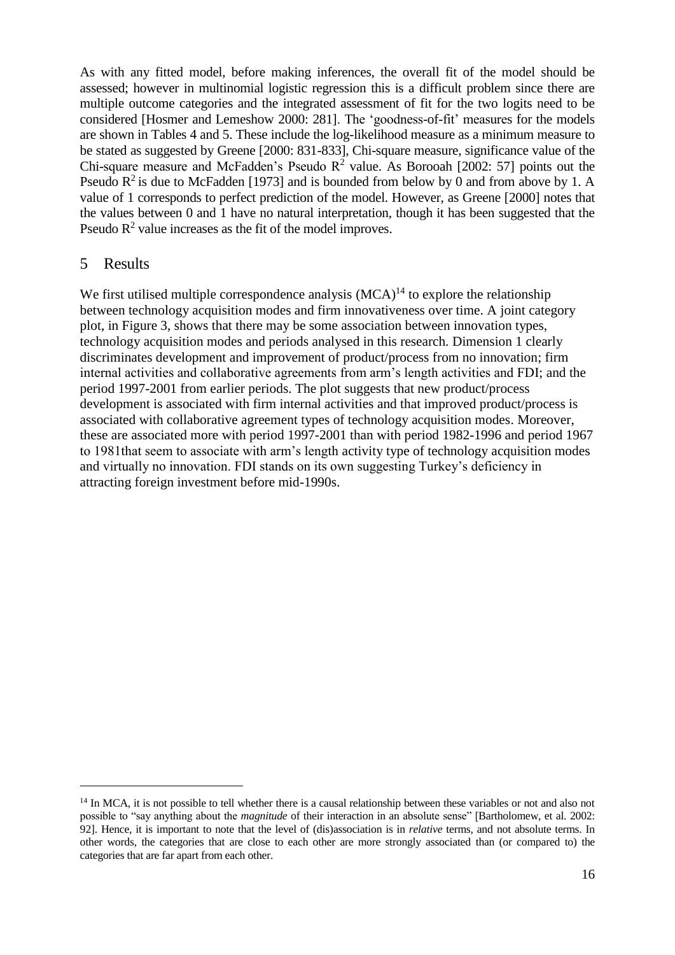As with any fitted model, before making inferences, the overall fit of the model should be assessed; however in multinomial logistic regression this is a difficult problem since there are multiple outcome categories and the integrated assessment of fit for the two logits need to be considered [Hosmer and Lemeshow 2000: 281]. The 'goodness-of-fit' measures for the models are shown in Tables 4 and 5. These include the log-likelihood measure as a minimum measure to be stated as suggested by Greene [2000: 831-833], Chi-square measure, significance value of the Chi-square measure and McFadden's Pseudo  $\mathbb{R}^2$  value. As Borooah [2002: 57] points out the Pseudo  $\mathbb{R}^2$  is due to McFadden [1973] and is bounded from below by 0 and from above by 1. A value of 1 corresponds to perfect prediction of the model. However, as Greene [2000] notes that the values between 0 and 1 have no natural interpretation, though it has been suggested that the Pseudo  $\mathbb{R}^2$  value increases as the fit of the model improves.

## 5 Results

 $\overline{a}$ 

We first utilised multiple correspondence analysis  $(MCA)^{14}$  to explore the relationship between technology acquisition modes and firm innovativeness over time. A joint category plot, in Figure 3, shows that there may be some association between innovation types, technology acquisition modes and periods analysed in this research. Dimension 1 clearly discriminates development and improvement of product/process from no innovation; firm internal activities and collaborative agreements from arm's length activities and FDI; and the period 1997-2001 from earlier periods. The plot suggests that new product/process development is associated with firm internal activities and that improved product/process is associated with collaborative agreement types of technology acquisition modes. Moreover, these are associated more with period 1997-2001 than with period 1982-1996 and period 1967 to 1981that seem to associate with arm's length activity type of technology acquisition modes and virtually no innovation. FDI stands on its own suggesting Turkey's deficiency in attracting foreign investment before mid-1990s.

<sup>&</sup>lt;sup>14</sup> In MCA, it is not possible to tell whether there is a causal relationship between these variables or not and also not possible to "say anything about the *magnitude* of their interaction in an absolute sense" [Bartholomew, et al. 2002: 92]. Hence, it is important to note that the level of (dis)association is in *relative* terms, and not absolute terms. In other words, the categories that are close to each other are more strongly associated than (or compared to) the categories that are far apart from each other.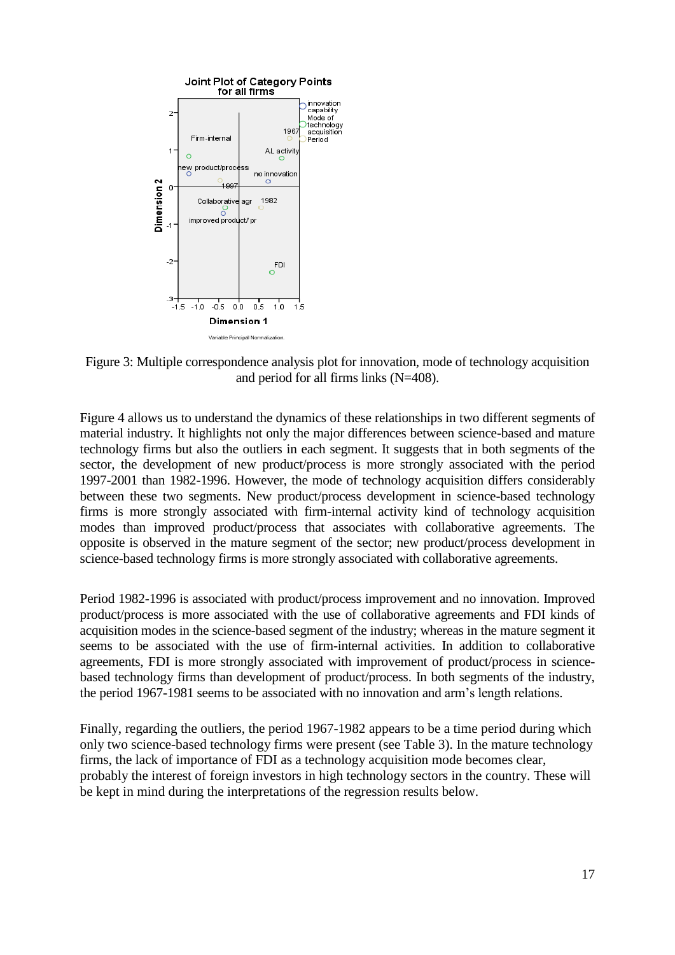

Figure 3: Multiple correspondence analysis plot for innovation, mode of technology acquisition and period for all firms links (N=408).

Figure 4 allows us to understand the dynamics of these relationships in two different segments of material industry. It highlights not only the major differences between science-based and mature technology firms but also the outliers in each segment. It suggests that in both segments of the sector, the development of new product/process is more strongly associated with the period 1997-2001 than 1982-1996. However, the mode of technology acquisition differs considerably between these two segments. New product/process development in science-based technology firms is more strongly associated with firm-internal activity kind of technology acquisition modes than improved product/process that associates with collaborative agreements. The opposite is observed in the mature segment of the sector; new product/process development in science-based technology firms is more strongly associated with collaborative agreements.

Period 1982-1996 is associated with product/process improvement and no innovation. Improved product/process is more associated with the use of collaborative agreements and FDI kinds of acquisition modes in the science-based segment of the industry; whereas in the mature segment it seems to be associated with the use of firm-internal activities. In addition to collaborative agreements, FDI is more strongly associated with improvement of product/process in sciencebased technology firms than development of product/process. In both segments of the industry, the period 1967-1981 seems to be associated with no innovation and arm's length relations.

Finally, regarding the outliers, the period 1967-1982 appears to be a time period during which only two science-based technology firms were present (see Table 3). In the mature technology firms, the lack of importance of FDI as a technology acquisition mode becomes clear, probably the interest of foreign investors in high technology sectors in the country. These will be kept in mind during the interpretations of the regression results below.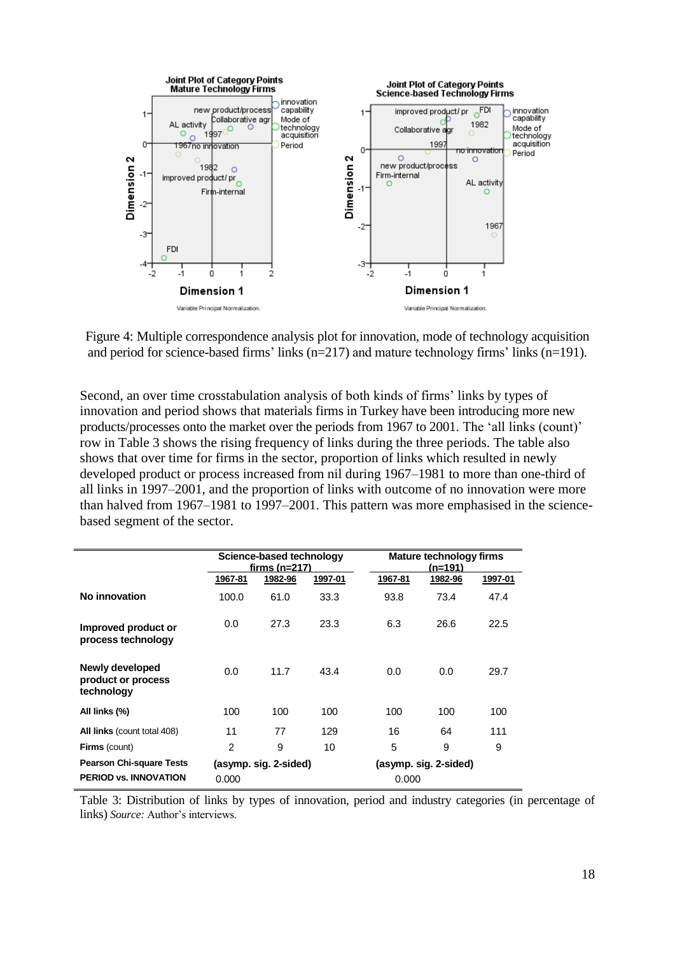

Figure 4: Multiple correspondence analysis plot for innovation, mode of technology acquisition and period for science-based firms' links (n=217) and mature technology firms' links (n=191).

Second, an over time crosstabulation analysis of both kinds of firms' links by types of innovation and period shows that materials firms in Turkey have been introducing more new products/processes onto the market over the periods from 1967 to 2001. The 'all links (count)' row in Table 3 shows the rising frequency of links during the three periods. The table also shows that over time for firms in the sector, proportion of links which resulted in newly developed product or process increased from nil during 1967–1981 to more than one-third of all links in 1997–2001, and the proportion of links with outcome of no innovation were more than halved from 1967–1981 to 1997–2001. This pattern was more emphasised in the sciencebased segment of the sector.

|                                                                 |                | Science-based technology<br>firms $(n=217)$ |         |                                | Mature technology firms<br>$(n=191)$ |         |  |  |  |
|-----------------------------------------------------------------|----------------|---------------------------------------------|---------|--------------------------------|--------------------------------------|---------|--|--|--|
|                                                                 | 1967-81        | 1982-96                                     | 1997-01 | 1967-81                        | 1982-96                              | 1997-01 |  |  |  |
| No innovation                                                   | 100.0          | 61.0                                        | 33.3    | 93.8                           | 73.4                                 | 47.4    |  |  |  |
| Improved product or<br>process technology                       | 0.0            | 27.3                                        | 23.3    | 6.3                            | 26.6                                 | 22.5    |  |  |  |
| Newly developed<br>product or process<br>technology             | 0.0            | 11.7                                        | 43.4    | 0.0                            | 0.0                                  | 29.7    |  |  |  |
| All links (%)                                                   | 100            | 100                                         | 100     | 100                            | 100                                  | 100     |  |  |  |
| All links (count total 408)                                     | 11             | 77                                          | 129     | 16                             | 64                                   | 111     |  |  |  |
| <b>Firms (count)</b>                                            | $\mathfrak{p}$ | 9                                           | 10      | 5                              | 9                                    | 9       |  |  |  |
| <b>Pearson Chi-square Tests</b><br><b>PERIOD vs. INNOVATION</b> | 0.000          | (asymp. sig. 2-sided)                       |         | (asymp. sig. 2-sided)<br>0.000 |                                      |         |  |  |  |

Table 3: Distribution of links by types of innovation, period and industry categories (in percentage of links) *Source:* Author's interviews.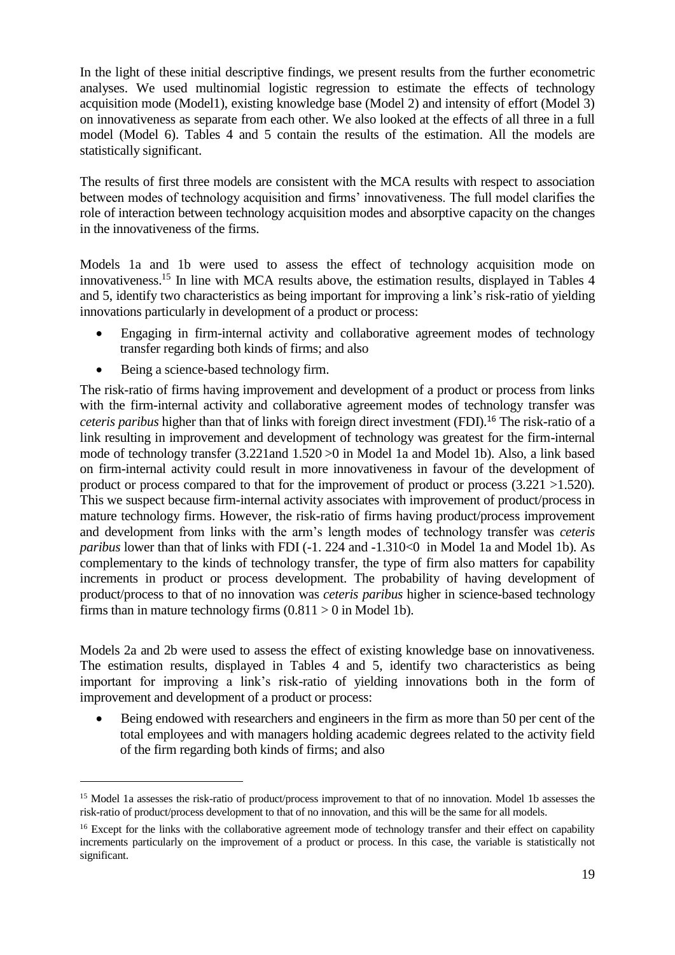In the light of these initial descriptive findings, we present results from the further econometric analyses. We used multinomial logistic regression to estimate the effects of technology acquisition mode (Model1), existing knowledge base (Model 2) and intensity of effort (Model 3) on innovativeness as separate from each other. We also looked at the effects of all three in a full model (Model 6). Tables 4 and 5 contain the results of the estimation. All the models are statistically significant.

The results of first three models are consistent with the MCA results with respect to association between modes of technology acquisition and firms' innovativeness. The full model clarifies the role of interaction between technology acquisition modes and absorptive capacity on the changes in the innovativeness of the firms.

Models 1a and 1b were used to assess the effect of technology acquisition mode on innovativeness.<sup>15</sup> In line with MCA results above, the estimation results, displayed in Tables 4 and 5, identify two characteristics as being important for improving a link's risk-ratio of yielding innovations particularly in development of a product or process:

- Engaging in firm-internal activity and collaborative agreement modes of technology transfer regarding both kinds of firms; and also
- Being a science-based technology firm.

 $\overline{a}$ 

The risk-ratio of firms having improvement and development of a product or process from links with the firm-internal activity and collaborative agreement modes of technology transfer was *ceteris paribus* higher than that of links with foreign direct investment (FDI).<sup>16</sup> The risk-ratio of a link resulting in improvement and development of technology was greatest for the firm-internal mode of technology transfer (3.221and 1.520 >0 in Model 1a and Model 1b). Also, a link based on firm-internal activity could result in more innovativeness in favour of the development of product or process compared to that for the improvement of product or process (3.221 >1.520). This we suspect because firm-internal activity associates with improvement of product/process in mature technology firms. However, the risk-ratio of firms having product/process improvement and development from links with the arm's length modes of technology transfer was *ceteris paribus* lower than that of links with FDI (-1. 224 and -1.310<0 in Model 1a and Model 1b). As complementary to the kinds of technology transfer, the type of firm also matters for capability increments in product or process development. The probability of having development of product/process to that of no innovation was *ceteris paribus* higher in science-based technology firms than in mature technology firms  $(0.811 > 0$  in Model 1b).

Models 2a and 2b were used to assess the effect of existing knowledge base on innovativeness. The estimation results, displayed in Tables 4 and 5, identify two characteristics as being important for improving a link's risk-ratio of yielding innovations both in the form of improvement and development of a product or process:

 Being endowed with researchers and engineers in the firm as more than 50 per cent of the total employees and with managers holding academic degrees related to the activity field of the firm regarding both kinds of firms; and also

<sup>&</sup>lt;sup>15</sup> Model 1a assesses the risk-ratio of product/process improvement to that of no innovation. Model 1b assesses the risk-ratio of product/process development to that of no innovation, and this will be the same for all models.

<sup>&</sup>lt;sup>16</sup> Except for the links with the collaborative agreement mode of technology transfer and their effect on capability increments particularly on the improvement of a product or process. In this case, the variable is statistically not significant.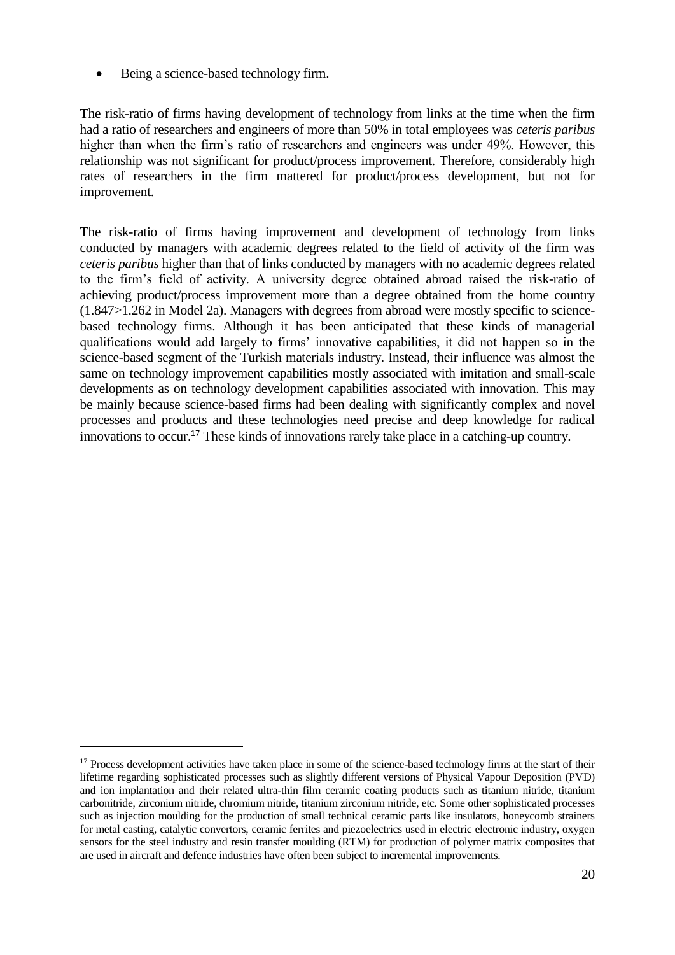• Being a science-based technology firm.

 $\overline{a}$ 

The risk-ratio of firms having development of technology from links at the time when the firm had a ratio of researchers and engineers of more than 50% in total employees was *ceteris paribus* higher than when the firm's ratio of researchers and engineers was under 49%. However, this relationship was not significant for product/process improvement. Therefore, considerably high rates of researchers in the firm mattered for product/process development, but not for improvement.

The risk-ratio of firms having improvement and development of technology from links conducted by managers with academic degrees related to the field of activity of the firm was *ceteris paribus* higher than that of links conducted by managers with no academic degrees related to the firm's field of activity. A university degree obtained abroad raised the risk-ratio of achieving product/process improvement more than a degree obtained from the home country (1.847>1.262 in Model 2a). Managers with degrees from abroad were mostly specific to sciencebased technology firms. Although it has been anticipated that these kinds of managerial qualifications would add largely to firms' innovative capabilities, it did not happen so in the science-based segment of the Turkish materials industry. Instead, their influence was almost the same on technology improvement capabilities mostly associated with imitation and small-scale developments as on technology development capabilities associated with innovation. This may be mainly because science-based firms had been dealing with significantly complex and novel processes and products and these technologies need precise and deep knowledge for radical innovations to occur.<sup>17</sup> These kinds of innovations rarely take place in a catching-up country.

<sup>&</sup>lt;sup>17</sup> Process development activities have taken place in some of the science-based technology firms at the start of their lifetime regarding sophisticated processes such as slightly different versions of Physical Vapour Deposition (PVD) and ion implantation and their related ultra-thin film ceramic coating products such as titanium nitride, titanium carbonitride, zirconium nitride, chromium nitride, titanium zirconium nitride, etc. Some other sophisticated processes such as injection moulding for the production of small technical ceramic parts like insulators, honeycomb strainers for metal casting, catalytic convertors, ceramic ferrites and piezoelectrics used in electric electronic industry, oxygen sensors for the steel industry and resin transfer moulding (RTM) for production of polymer matrix composites that are used in aircraft and defence industries have often been subject to incremental improvements.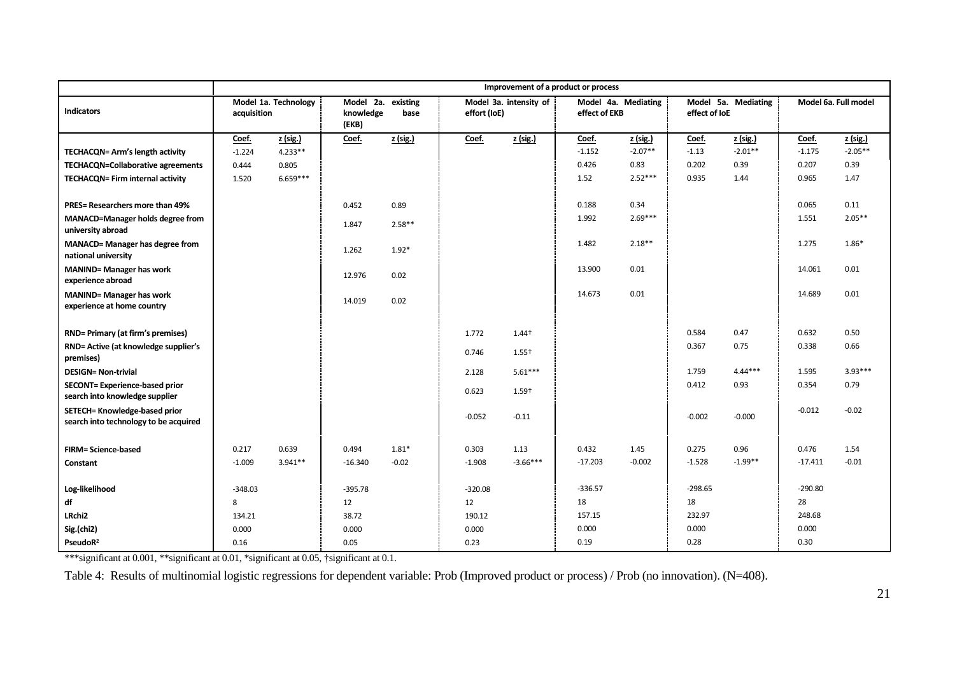|                                                                         | Improvement of a product or process |                      |                                                  |                 |                                        |                   |                                      |           |                                      |                 |                      |                 |
|-------------------------------------------------------------------------|-------------------------------------|----------------------|--------------------------------------------------|-----------------|----------------------------------------|-------------------|--------------------------------------|-----------|--------------------------------------|-----------------|----------------------|-----------------|
| <b>Indicators</b>                                                       | acquisition                         | Model 1a. Technology | Model 2a. existing<br>knowledge<br>base<br>(EKB) |                 | Model 3a. intensity of<br>effort (IoE) |                   | Model 4a. Mediating<br>effect of EKB |           | Model 5a. Mediating<br>effect of IoE |                 | Model 6a. Full model |                 |
|                                                                         | Coef.                               | z (sig.)             | Coef.                                            | <u>z (sig.)</u> | Coef.                                  | <u>z</u> (sig.)   | Coef.                                | z (sig.)  | Coef.                                | <u>z</u> (sig.) | Coef.                | <u>z</u> (sig.) |
| <b>TECHACQN= Arm's length activity</b>                                  | $-1.224$                            | $4.233**$            |                                                  |                 |                                        |                   | $-1.152$                             | $-2.07**$ | $-1.13$                              | $-2.01**$       | $-1.175$             | $-2.05**$       |
| <b>TECHACQN=Collaborative agreements</b>                                | 0.444                               | 0.805                |                                                  |                 |                                        |                   | 0.426                                | 0.83      | 0.202                                | 0.39            | 0.207                | 0.39            |
| <b>TECHACQN= Firm internal activity</b>                                 | 1.520                               | $6.659***$           |                                                  |                 |                                        |                   | 1.52                                 | $2.52***$ | 0.935                                | 1.44            | 0.965                | 1.47            |
|                                                                         |                                     |                      |                                                  |                 |                                        |                   |                                      |           |                                      |                 |                      |                 |
| <b>PRES= Researchers more than 49%</b>                                  |                                     |                      | 0.452                                            | 0.89            |                                        |                   | 0.188                                | 0.34      |                                      |                 | 0.065                | 0.11            |
| <b>MANACD=Manager holds degree from</b><br>university abroad            |                                     |                      | 1.847                                            | $2.58**$        |                                        |                   | 1.992                                | $2.69***$ |                                      |                 | 1.551                | $2.05**$        |
| <b>MANACD= Manager has degree from</b><br>national university           |                                     |                      | 1.262                                            | $1.92*$         |                                        |                   | 1.482                                | $2.18**$  |                                      |                 | 1.275                | $1.86*$         |
| <b>MANIND= Manager has work</b><br>experience abroad                    |                                     |                      | 12.976                                           | 0.02            |                                        |                   | 13.900                               | 0.01      |                                      |                 | 14.061               | 0.01            |
| <b>MANIND= Manager has work</b><br>experience at home country           |                                     |                      | 14.019                                           | 0.02            |                                        |                   | 14.673                               | 0.01      |                                      |                 | 14.689               | 0.01            |
|                                                                         |                                     |                      |                                                  |                 |                                        |                   |                                      |           | 0.584                                | 0.47            | 0.632                | 0.50            |
| RND= Primary (at firm's premises)                                       |                                     |                      |                                                  |                 | 1.772                                  | 1.44 <sup>†</sup> |                                      |           | 0.367                                | 0.75            | 0.338                | 0.66            |
| RND= Active (at knowledge supplier's<br>premises)                       |                                     |                      |                                                  |                 | 0.746                                  | $1.55+$           |                                      |           |                                      |                 |                      |                 |
| <b>DESIGN= Non-trivial</b>                                              |                                     |                      |                                                  |                 | 2.128                                  | $5.61***$         |                                      |           | 1.759                                | $4.44***$       | 1.595                | $3.93***$       |
| <b>SECONT= Experience-based prior</b><br>search into knowledge supplier |                                     |                      |                                                  |                 | 0.623                                  | $1.59+$           |                                      |           | 0.412                                | 0.93            | 0.354                | 0.79            |
| SETECH= Knowledge-based prior<br>search into technology to be acquired  |                                     |                      |                                                  |                 | $-0.052$                               | $-0.11$           |                                      |           | $-0.002$                             | $-0.000$        | $-0.012$             | $-0.02$         |
| <b>FIRM= Science-based</b>                                              | 0.217                               | 0.639                | 0.494                                            | $1.81*$         | 0.303                                  | 1.13              | 0.432                                | 1.45      | 0.275                                | 0.96            | 0.476                | 1.54            |
| Constant                                                                | $-1.009$                            | $3.941**$            | $-16.340$                                        | $-0.02$         | $-1.908$                               | $-3.66***$        | $-17.203$                            | $-0.002$  | $-1.528$                             | $-1.99**$       | $-17.411$            | $-0.01$         |
|                                                                         |                                     |                      |                                                  |                 |                                        |                   |                                      |           |                                      |                 |                      |                 |
| Log-likelihood                                                          | $-348.03$                           |                      | $-395.78$                                        |                 | $-320.08$                              |                   | $-336.57$                            |           | $-298.65$                            |                 | $-290.80$            |                 |
| df                                                                      | 8                                   |                      | 12                                               |                 | 12                                     |                   | 18                                   |           | 18                                   |                 | 28                   |                 |
| LRchi <sub>2</sub>                                                      | 134.21                              |                      | 38.72                                            |                 | 190.12                                 |                   | 157.15                               |           | 232.97                               |                 | 248.68               |                 |
| Sig.(chi2)                                                              | 0.000                               |                      | 0.000                                            |                 | 0.000                                  |                   | 0.000                                |           | 0.000                                |                 | 0.000                |                 |
| PseudoR <sup>2</sup>                                                    | 0.16                                |                      | 0.05                                             |                 | 0.23                                   |                   | 0.19                                 |           | 0.28                                 |                 | 0.30                 |                 |

\*\*\*significant at 0.001, \*\*significant at 0.01, \*significant at 0.05, †significant at 0.1.

Table 4: Results of multinomial logistic regressions for dependent variable: Prob (Improved product or process) / Prob (no innovation). (N=408).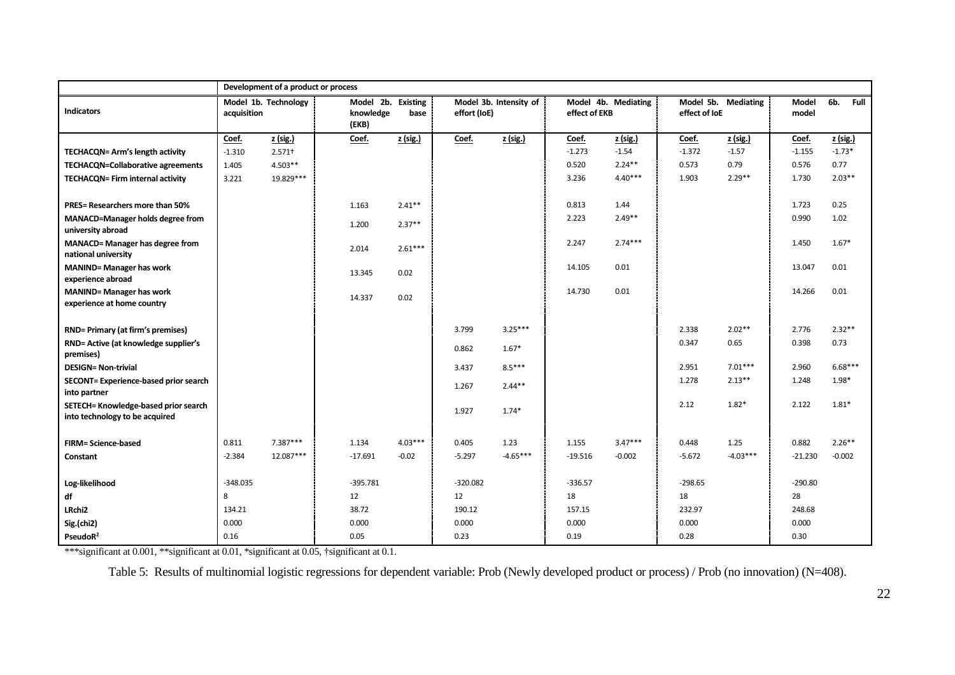|                                                                        | Development of a product or process |                      |                                 |                         |              |                        |               |                     |               |                     |                |             |
|------------------------------------------------------------------------|-------------------------------------|----------------------|---------------------------------|-------------------------|--------------|------------------------|---------------|---------------------|---------------|---------------------|----------------|-------------|
| Indicators                                                             | acquisition                         | Model 1b. Technology | Model 2b.<br>knowledge<br>(EKB) | <b>Existing</b><br>base | effort (IoE) | Model 3b. Intensity of | effect of EKB | Model 4b. Mediating | effect of IoE | Model 5b. Mediating | Model<br>model | 6b.<br>Full |
|                                                                        | Coef.                               | <u>z</u> (sig.)      | Coef.                           | z (sig.)                | Coef.        | $z$ (sig.)             | Coef.         | z (sig.)            | Coef.         | <u>z (sig.)</u>     | Coef.          | z (sig.)    |
| TECHACQN= Arm's length activity                                        | $-1.310$                            | $2.571+$             |                                 |                         |              |                        | $-1.273$      | $-1.54$             | $-1.372$      | $-1.57$             | $-1.155$       | $-1.73*$    |
| <b>TECHACQN=Collaborative agreements</b>                               | 1.405                               | $4.503**$            |                                 |                         |              |                        | 0.520         | $2.24***$           | 0.573         | 0.79                | 0.576          | 0.77        |
| TECHACQN= Firm internal activity                                       | 3.221                               | 19.829***            |                                 |                         |              |                        | 3.236         | $4.40***$           | 1.903         | $2.29**$            | 1.730          | $2.03**$    |
|                                                                        |                                     |                      |                                 |                         |              |                        |               |                     |               |                     |                |             |
| <b>PRES= Researchers more than 50%</b>                                 |                                     |                      | 1.163                           | $2.41**$                |              |                        | 0.813         | 1.44                |               |                     | 1.723          | 0.25        |
| <b>MANACD=Manager holds degree from</b><br>university abroad           |                                     |                      | 1.200                           | $2.37**$                |              |                        | 2.223         | $2.49**$            |               |                     | 0.990          | 1.02        |
| <b>MANACD= Manager has degree from</b><br>national university          |                                     |                      | 2.014                           | $2.61***$               |              |                        | 2.247         | $2.74***$           |               |                     | 1.450          | $1.67*$     |
| <b>MANIND= Manager has work</b><br>experience abroad                   |                                     |                      | 13.345                          | 0.02                    |              |                        | 14.105        | 0.01                |               |                     | 13.047         | 0.01        |
| <b>MANIND= Manager has work</b><br>experience at home country          |                                     |                      | 14.337                          | 0.02                    |              |                        | 14.730        | 0.01                |               |                     | 14.266         | 0.01        |
| <b>RND= Primary (at firm's premises)</b>                               |                                     |                      |                                 |                         | 3.799        | $3.25***$              |               |                     | 2.338         | $2.02**$            | 2.776          | $2.32**$    |
| RND= Active (at knowledge supplier's                                   |                                     |                      |                                 |                         |              |                        |               |                     | 0.347         | 0.65                | 0.398          | 0.73        |
| premises)                                                              |                                     |                      |                                 |                         | 0.862        | $1.67*$                |               |                     |               |                     |                |             |
| <b>DESIGN= Non-trivial</b>                                             |                                     |                      |                                 |                         | 3.437        | $8.5***$               |               |                     | 2.951         | $7.01***$           | 2.960          | $6.68***$   |
| SECONT= Experience-based prior search<br>into partner                  |                                     |                      |                                 |                         | 1.267        | $2.44**$               |               |                     | 1.278         | $2.13**$            | 1.248          | $1.98*$     |
| SETECH= Knowledge-based prior search<br>into technology to be acquired |                                     |                      |                                 |                         | 1.927        | $1.74*$                |               |                     | 2.12          | $1.82*$             | 2.122          | $1.81*$     |
| <b>FIRM= Science-based</b>                                             | 0.811                               | $7.387***$           | 1.134                           | $4.03***$               | 0.405        | 1.23                   | 1.155         | $3.47***$           | 0.448         | 1.25                | 0.882          | $2.26***$   |
| Constant                                                               | $-2.384$                            | 12.087***            | $-17.691$                       | $-0.02$                 | $-5.297$     | $-4.65***$             | $-19.516$     | $-0.002$            | $-5.672$      | $-4.03***$          | $-21.230$      | $-0.002$    |
|                                                                        |                                     |                      |                                 |                         |              |                        |               |                     |               |                     |                |             |
| Log-likelihood                                                         | $-348.035$                          |                      | $-395.781$                      |                         | $-320.082$   |                        | $-336.57$     |                     | $-298.65$     |                     | $-290.80$      |             |
| df                                                                     | 8                                   |                      | 12                              |                         | 12           |                        | 18            |                     | 18            |                     | 28             |             |
| LRchi <sub>2</sub>                                                     | 134.21                              |                      | 38.72                           |                         | 190.12       |                        | 157.15        |                     | 232.97        |                     | 248.68         |             |
| Sig.(chi2)                                                             | 0.000                               |                      | 0.000                           |                         | 0.000        |                        | 0.000         |                     | 0.000         |                     | 0.000          |             |
| PseudoR <sup>2</sup>                                                   | 0.16                                |                      | 0.05                            |                         | 0.23         |                        | 0.19          |                     | 0.28          |                     | 0.30           |             |

\*\*\*significant at 0.001, \*\*significant at 0.01, \*significant at 0.05, †significant at 0.1.

Table 5: Results of multinomial logistic regressions for dependent variable: Prob (Newly developed product or process) / Prob (no innovation) (N=408).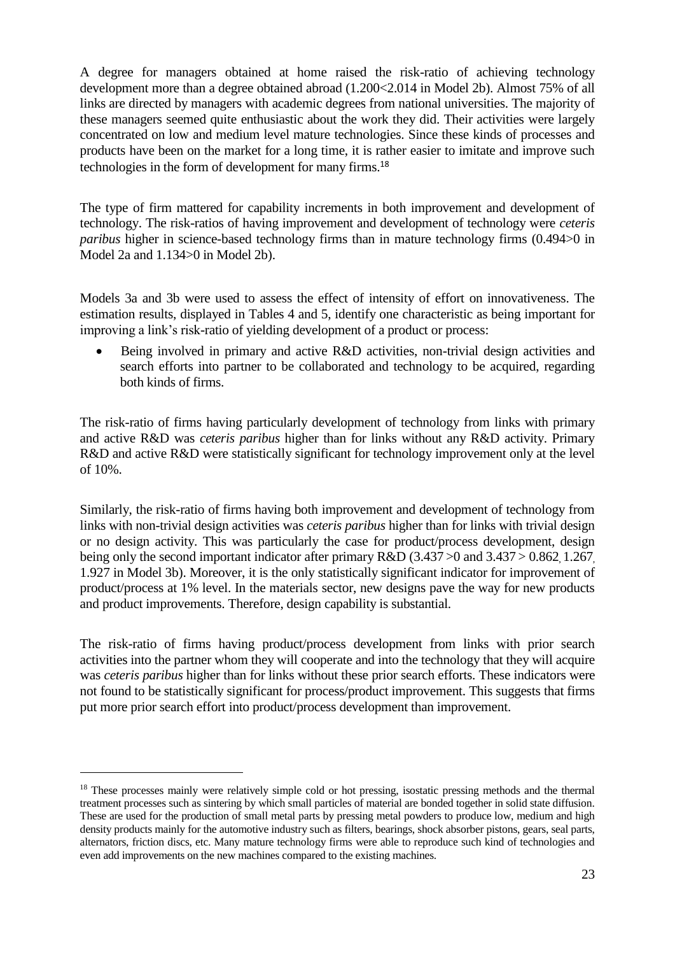A degree for managers obtained at home raised the risk-ratio of achieving technology development more than a degree obtained abroad (1.200<2.014 in Model 2b). Almost 75% of all links are directed by managers with academic degrees from national universities. The majority of these managers seemed quite enthusiastic about the work they did. Their activities were largely concentrated on low and medium level mature technologies. Since these kinds of processes and products have been on the market for a long time, it is rather easier to imitate and improve such technologies in the form of development for many firms.<sup>18</sup>

The type of firm mattered for capability increments in both improvement and development of technology. The risk-ratios of having improvement and development of technology were *ceteris paribus* higher in science-based technology firms than in mature technology firms (0.494 $>0$  in Model 2a and 1.134>0 in Model 2b).

Models 3a and 3b were used to assess the effect of intensity of effort on innovativeness. The estimation results, displayed in Tables 4 and 5, identify one characteristic as being important for improving a link's risk-ratio of yielding development of a product or process:

 Being involved in primary and active R&D activities, non-trivial design activities and search efforts into partner to be collaborated and technology to be acquired, regarding both kinds of firms.

The risk-ratio of firms having particularly development of technology from links with primary and active R&D was *ceteris paribus* higher than for links without any R&D activity. Primary R&D and active R&D were statistically significant for technology improvement only at the level of 10%.

Similarly, the risk-ratio of firms having both improvement and development of technology from links with non-trivial design activities was *ceteris paribus* higher than for links with trivial design or no design activity. This was particularly the case for product/process development, design being only the second important indicator after primary R&D (3.437 >0 and 3.437 > 0.862, 1.267, 1.927 in Model 3b). Moreover, it is the only statistically significant indicator for improvement of product/process at 1% level. In the materials sector, new designs pave the way for new products and product improvements. Therefore, design capability is substantial.

The risk-ratio of firms having product/process development from links with prior search activities into the partner whom they will cooperate and into the technology that they will acquire was *ceteris paribus* higher than for links without these prior search efforts. These indicators were not found to be statistically significant for process/product improvement. This suggests that firms put more prior search effort into product/process development than improvement.

 $\overline{a}$ 

<sup>&</sup>lt;sup>18</sup> These processes mainly were relatively simple cold or hot pressing, isostatic pressing methods and the thermal treatment processes such as sintering by which small particles of material are bonded together in solid state diffusion. These are used for the production of small metal parts by pressing metal powders to produce low, medium and high density products mainly for the automotive industry such as filters, bearings, shock absorber pistons, gears, seal parts, alternators, friction discs, etc. Many mature technology firms were able to reproduce such kind of technologies and even add improvements on the new machines compared to the existing machines.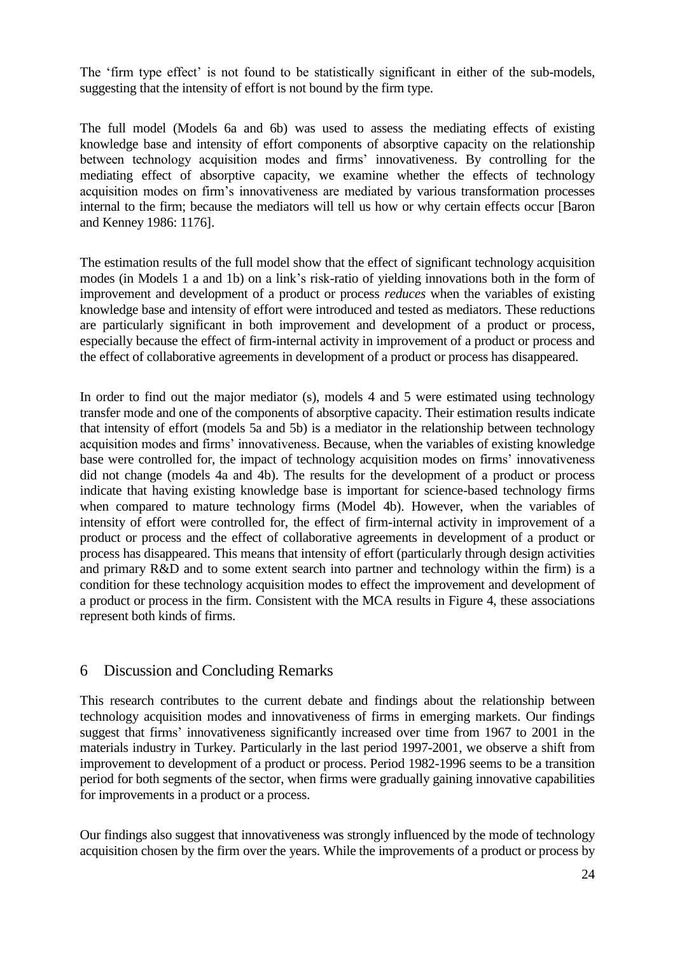The 'firm type effect' is not found to be statistically significant in either of the sub-models, suggesting that the intensity of effort is not bound by the firm type.

The full model (Models 6a and 6b) was used to assess the mediating effects of existing knowledge base and intensity of effort components of absorptive capacity on the relationship between technology acquisition modes and firms' innovativeness. By controlling for the mediating effect of absorptive capacity, we examine whether the effects of technology acquisition modes on firm's innovativeness are mediated by various transformation processes internal to the firm; because the mediators will tell us how or why certain effects occur [Baron and Kenney 1986: 1176].

The estimation results of the full model show that the effect of significant technology acquisition modes (in Models 1 a and 1b) on a link's risk-ratio of yielding innovations both in the form of improvement and development of a product or process *reduces* when the variables of existing knowledge base and intensity of effort were introduced and tested as mediators. These reductions are particularly significant in both improvement and development of a product or process, especially because the effect of firm-internal activity in improvement of a product or process and the effect of collaborative agreements in development of a product or process has disappeared.

In order to find out the major mediator (s), models 4 and 5 were estimated using technology transfer mode and one of the components of absorptive capacity. Their estimation results indicate that intensity of effort (models 5a and 5b) is a mediator in the relationship between technology acquisition modes and firms' innovativeness. Because, when the variables of existing knowledge base were controlled for, the impact of technology acquisition modes on firms' innovativeness did not change (models 4a and 4b). The results for the development of a product or process indicate that having existing knowledge base is important for science-based technology firms when compared to mature technology firms (Model 4b). However, when the variables of intensity of effort were controlled for, the effect of firm-internal activity in improvement of a product or process and the effect of collaborative agreements in development of a product or process has disappeared. This means that intensity of effort (particularly through design activities and primary R&D and to some extent search into partner and technology within the firm) is a condition for these technology acquisition modes to effect the improvement and development of a product or process in the firm. Consistent with the MCA results in Figure 4, these associations represent both kinds of firms.

# 6 Discussion and Concluding Remarks

This research contributes to the current debate and findings about the relationship between technology acquisition modes and innovativeness of firms in emerging markets. Our findings suggest that firms' innovativeness significantly increased over time from 1967 to 2001 in the materials industry in Turkey. Particularly in the last period 1997-2001, we observe a shift from improvement to development of a product or process. Period 1982-1996 seems to be a transition period for both segments of the sector, when firms were gradually gaining innovative capabilities for improvements in a product or a process.

Our findings also suggest that innovativeness was strongly influenced by the mode of technology acquisition chosen by the firm over the years. While the improvements of a product or process by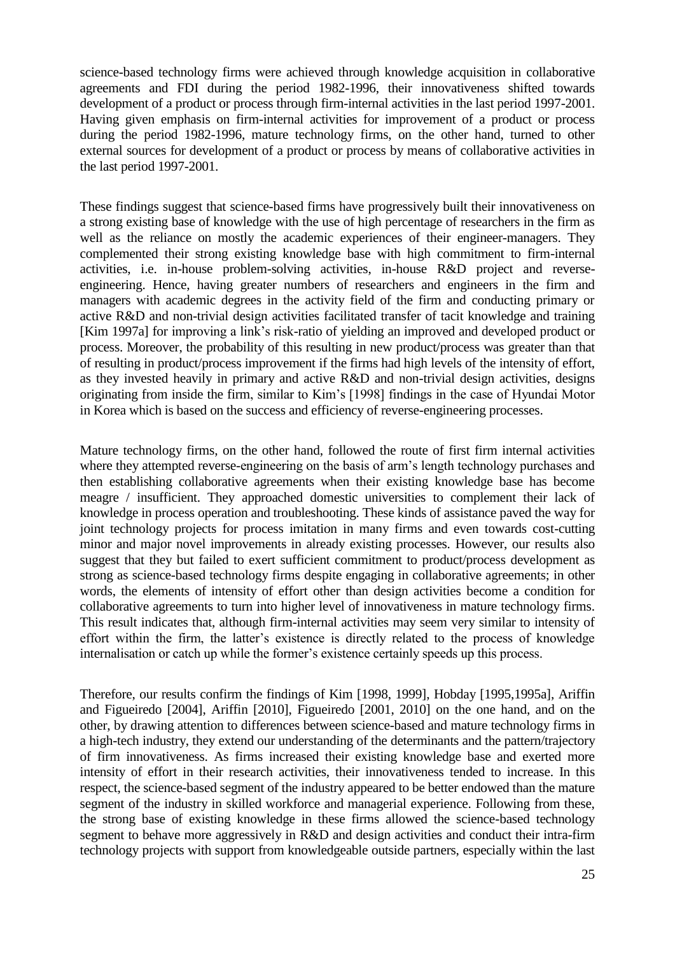science-based technology firms were achieved through knowledge acquisition in collaborative agreements and FDI during the period 1982-1996, their innovativeness shifted towards development of a product or process through firm-internal activities in the last period 1997-2001. Having given emphasis on firm-internal activities for improvement of a product or process during the period 1982-1996, mature technology firms, on the other hand, turned to other external sources for development of a product or process by means of collaborative activities in the last period 1997-2001.

These findings suggest that science-based firms have progressively built their innovativeness on a strong existing base of knowledge with the use of high percentage of researchers in the firm as well as the reliance on mostly the academic experiences of their engineer-managers. They complemented their strong existing knowledge base with high commitment to firm-internal activities, i.e. in-house problem-solving activities, in-house R&D project and reverseengineering. Hence, having greater numbers of researchers and engineers in the firm and managers with academic degrees in the activity field of the firm and conducting primary or active R&D and non-trivial design activities facilitated transfer of tacit knowledge and training [Kim 1997a] for improving a link's risk-ratio of yielding an improved and developed product or process. Moreover, the probability of this resulting in new product/process was greater than that of resulting in product/process improvement if the firms had high levels of the intensity of effort, as they invested heavily in primary and active R&D and non-trivial design activities, designs originating from inside the firm, similar to Kim's [1998] findings in the case of Hyundai Motor in Korea which is based on the success and efficiency of reverse-engineering processes.

Mature technology firms, on the other hand, followed the route of first firm internal activities where they attempted reverse-engineering on the basis of arm's length technology purchases and then establishing collaborative agreements when their existing knowledge base has become meagre / insufficient. They approached domestic universities to complement their lack of knowledge in process operation and troubleshooting. These kinds of assistance paved the way for joint technology projects for process imitation in many firms and even towards cost-cutting minor and major novel improvements in already existing processes. However, our results also suggest that they but failed to exert sufficient commitment to product/process development as strong as science-based technology firms despite engaging in collaborative agreements; in other words, the elements of intensity of effort other than design activities become a condition for collaborative agreements to turn into higher level of innovativeness in mature technology firms. This result indicates that, although firm-internal activities may seem very similar to intensity of effort within the firm, the latter's existence is directly related to the process of knowledge internalisation or catch up while the former's existence certainly speeds up this process.

Therefore, our results confirm the findings of Kim [1998, 1999], Hobday [1995,1995a], Ariffin and Figueiredo [2004], Ariffin [2010], Figueiredo [2001, 2010] on the one hand, and on the other, by drawing attention to differences between science-based and mature technology firms in a high-tech industry, they extend our understanding of the determinants and the pattern/trajectory of firm innovativeness. As firms increased their existing knowledge base and exerted more intensity of effort in their research activities, their innovativeness tended to increase. In this respect, the science-based segment of the industry appeared to be better endowed than the mature segment of the industry in skilled workforce and managerial experience. Following from these, the strong base of existing knowledge in these firms allowed the science-based technology segment to behave more aggressively in R&D and design activities and conduct their intra-firm technology projects with support from knowledgeable outside partners, especially within the last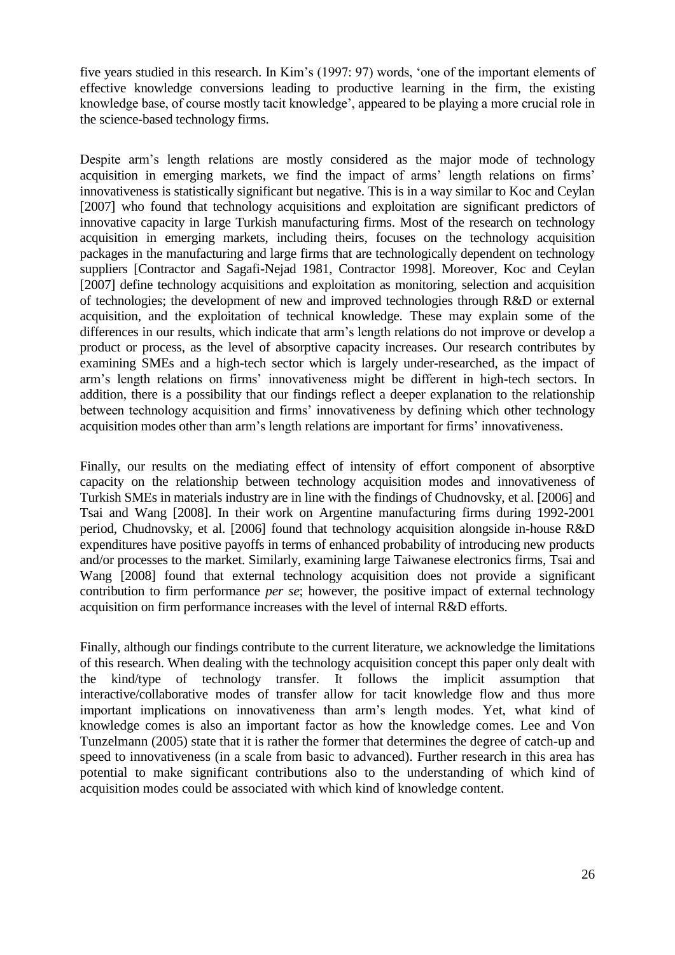five years studied in this research. In Kim's (1997: 97) words, 'one of the important elements of effective knowledge conversions leading to productive learning in the firm, the existing knowledge base, of course mostly tacit knowledge', appeared to be playing a more crucial role in the science-based technology firms.

Despite arm's length relations are mostly considered as the major mode of technology acquisition in emerging markets, we find the impact of arms' length relations on firms' innovativeness is statistically significant but negative. This is in a way similar to Koc and Ceylan [2007] who found that technology acquisitions and exploitation are significant predictors of innovative capacity in large Turkish manufacturing firms. Most of the research on technology acquisition in emerging markets, including theirs, focuses on the technology acquisition packages in the manufacturing and large firms that are technologically dependent on technology suppliers [Contractor and Sagafi-Nejad 1981, Contractor 1998]. Moreover, Koc and Ceylan [2007] define technology acquisitions and exploitation as monitoring, selection and acquisition of technologies; the development of new and improved technologies through R&D or external acquisition, and the exploitation of technical knowledge. These may explain some of the differences in our results, which indicate that arm's length relations do not improve or develop a product or process, as the level of absorptive capacity increases. Our research contributes by examining SMEs and a high-tech sector which is largely under-researched, as the impact of arm's length relations on firms' innovativeness might be different in high-tech sectors. In addition, there is a possibility that our findings reflect a deeper explanation to the relationship between technology acquisition and firms' innovativeness by defining which other technology acquisition modes other than arm's length relations are important for firms' innovativeness.

Finally, our results on the mediating effect of intensity of effort component of absorptive capacity on the relationship between technology acquisition modes and innovativeness of Turkish SMEs in materials industry are in line with the findings of Chudnovsky, et al. [2006] and Tsai and Wang [2008]. In their work on Argentine manufacturing firms during 1992-2001 period, Chudnovsky, et al. [2006] found that technology acquisition alongside in-house R&D expenditures have positive payoffs in terms of enhanced probability of introducing new products and/or processes to the market. Similarly, examining large Taiwanese electronics firms, Tsai and Wang [2008] found that external technology acquisition does not provide a significant contribution to firm performance *per se*; however, the positive impact of external technology acquisition on firm performance increases with the level of internal R&D efforts.

Finally, although our findings contribute to the current literature, we acknowledge the limitations of this research. When dealing with the technology acquisition concept this paper only dealt with the kind/type of technology transfer. It follows the implicit assumption that interactive/collaborative modes of transfer allow for tacit knowledge flow and thus more important implications on innovativeness than arm's length modes. Yet, what kind of knowledge comes is also an important factor as how the knowledge comes. Lee and Von Tunzelmann (2005) state that it is rather the former that determines the degree of catch-up and speed to innovativeness (in a scale from basic to advanced). Further research in this area has potential to make significant contributions also to the understanding of which kind of acquisition modes could be associated with which kind of knowledge content.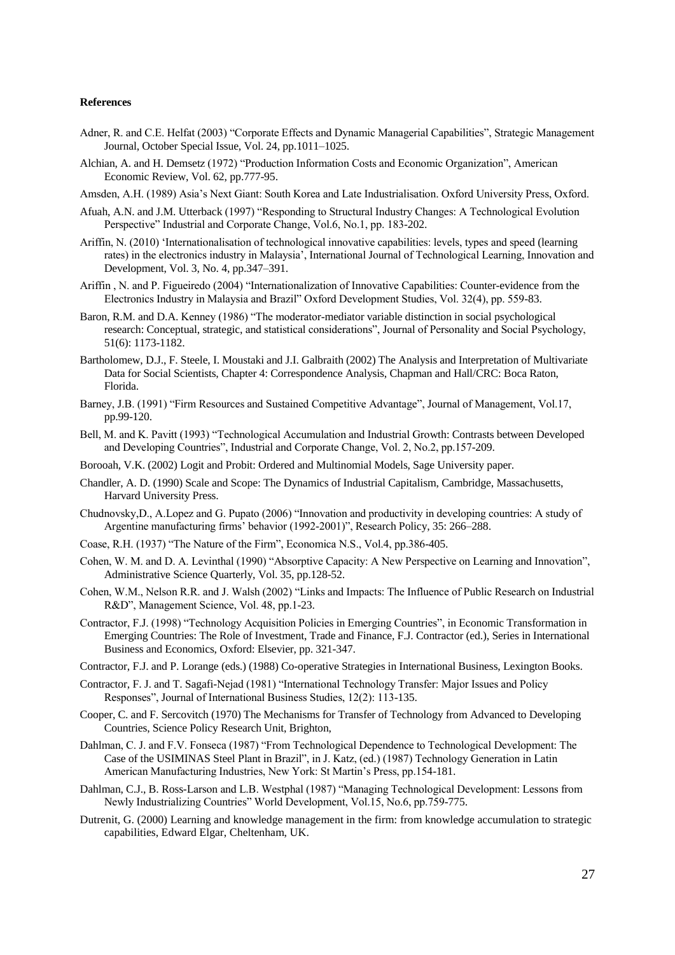#### **References**

- Adner, R. and C.E. Helfat (2003) "Corporate Effects and Dynamic Managerial Capabilities", Strategic Management Journal, October Special Issue, Vol. 24, pp.1011–1025.
- Alchian, A. and H. Demsetz (1972) "Production Information Costs and Economic Organization", American Economic Review, Vol. 62, pp.777-95.
- Amsden, A.H. (1989) Asia's Next Giant: South Korea and Late Industrialisation. Oxford University Press, Oxford.
- Afuah, A.N. and J.M. Utterback (1997) "Responding to Structural Industry Changes: A Technological Evolution Perspective" Industrial and Corporate Change, Vol.6, No.1, pp. 183-202.
- Ariffin, N. (2010) 'Internationalisation of technological innovative capabilities: levels, types and speed (learning rates) in the electronics industry in Malaysia', International Journal of Technological Learning, Innovation and Development, Vol. 3, No. 4, pp.347–391.
- Ariffin , N. and P. Figueiredo (2004) "Internationalization of Innovative Capabilities: Counter-evidence from the Electronics Industry in Malaysia and Brazil" Oxford Development Studies, Vol. 32(4), pp. 559-83.
- Baron, R.M. and D.A. Kenney (1986) "The moderator-mediator variable distinction in social psychological research: Conceptual, strategic, and statistical considerations", Journal of Personality and Social Psychology, 51(6): 1173-1182.
- Bartholomew, D.J., F. Steele, I. Moustaki and J.I. Galbraith (2002) The Analysis and Interpretation of Multivariate Data for Social Scientists, Chapter 4: Correspondence Analysis, Chapman and Hall/CRC: Boca Raton, Florida.
- Barney, J.B. (1991) "Firm Resources and Sustained Competitive Advantage", Journal of Management, Vol.17, pp.99-120.
- Bell, M. and K. Pavitt (1993) "Technological Accumulation and Industrial Growth: Contrasts between Developed and Developing Countries", Industrial and Corporate Change, Vol. 2, No.2, pp.157-209.
- Borooah, V.K. (2002) Logit and Probit: Ordered and Multinomial Models, Sage University paper.
- Chandler, A. D. (1990) Scale and Scope: The Dynamics of Industrial Capitalism, Cambridge, Massachusetts, Harvard University Press.
- Chudnovsky,D., A.Lopez and G. Pupato (2006) "Innovation and productivity in developing countries: A study of Argentine manufacturing firms' behavior (1992-2001)", Research Policy, 35: 266–288.
- Coase, R.H. (1937) "The Nature of the Firm", Economica N.S., Vol.4, pp.386-405.
- Cohen, W. M. and D. A. Levinthal (1990) "Absorptive Capacity: A New Perspective on Learning and Innovation", Administrative Science Quarterly, Vol. 35, pp.128-52.
- Cohen, W.M., Nelson R.R. and J. Walsh (2002) "Links and Impacts: The Influence of Public Research on Industrial R&D", Management Science, Vol. 48, pp.1-23.
- Contractor, F.J. (1998) "Technology Acquisition Policies in Emerging Countries", in Economic Transformation in Emerging Countries: The Role of Investment, Trade and Finance, F.J. Contractor (ed.), Series in International Business and Economics, Oxford: Elsevier, pp. 321-347.
- Contractor, F.J. and P. Lorange (eds.) (1988) Co-operative Strategies in International Business, Lexington Books.
- Contractor, F. J. and T. Sagafi-Nejad (1981) "International Technology Transfer: Major Issues and Policy Responses", Journal of International Business Studies, 12(2): 113-135.
- Cooper, C. and F. Sercovitch (1970) The Mechanisms for Transfer of Technology from Advanced to Developing Countries, Science Policy Research Unit, Brighton,
- Dahlman, C. J. and F.V. Fonseca (1987) "From Technological Dependence to Technological Development: The Case of the USIMINAS Steel Plant in Brazil", in J. Katz, (ed.) (1987) Technology Generation in Latin American Manufacturing Industries, New York: St Martin's Press, pp.154-181.
- Dahlman, C.J., B. Ross-Larson and L.B. Westphal (1987) "Managing Technological Development: Lessons from Newly Industrializing Countries" World Development, Vol.15, No.6, pp.759-775.
- Dutrenit, G. (2000) Learning and knowledge management in the firm: from knowledge accumulation to strategic capabilities, Edward Elgar, Cheltenham, UK.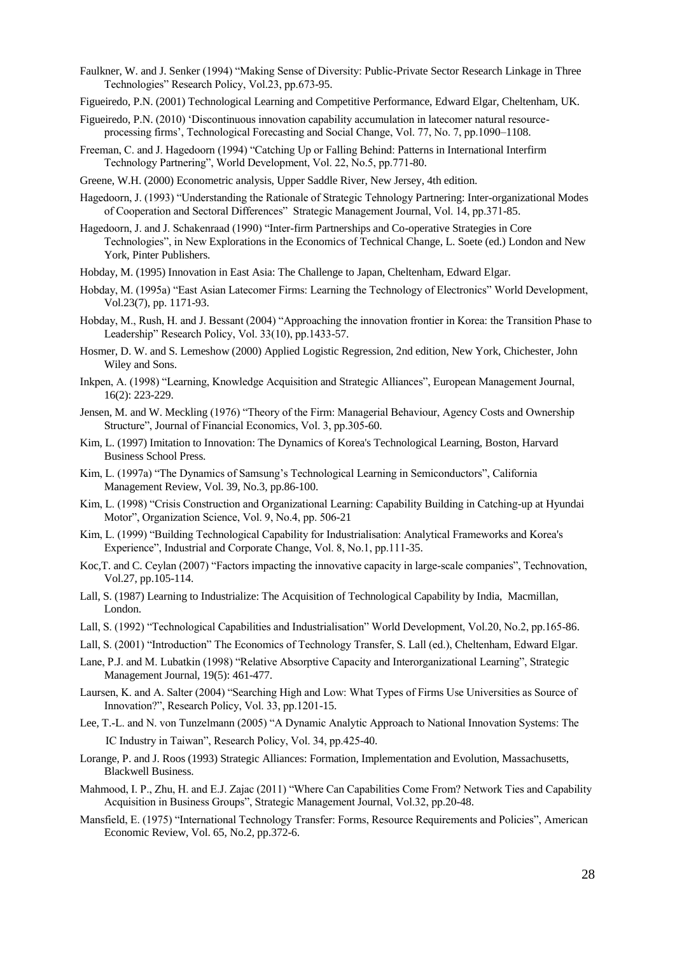- Faulkner, W. and J. Senker (1994) "Making Sense of Diversity: Public-Private Sector Research Linkage in Three Technologies" Research Policy, Vol.23, pp.673-95.
- Figueiredo, P.N. (2001) Technological Learning and Competitive Performance, Edward Elgar, Cheltenham, UK.
- Figueiredo, P.N. (2010) 'Discontinuous innovation capability accumulation in latecomer natural resourceprocessing firms', Technological Forecasting and Social Change, Vol. 77, No. 7, pp.1090–1108.
- Freeman, C. and J. Hagedoorn (1994) "Catching Up or Falling Behind: Patterns in International Interfirm Technology Partnering", World Development, Vol. 22, No.5, pp.771-80.
- Greene, W.H. (2000) Econometric analysis, Upper Saddle River, New Jersey, 4th edition.
- Hagedoorn, J. (1993) "Understanding the Rationale of Strategic Tehnology Partnering: Inter-organizational Modes of Cooperation and Sectoral Differences" Strategic Management Journal, Vol. 14, pp.371-85.
- Hagedoorn, J. and J. Schakenraad (1990) "Inter-firm Partnerships and Co-operative Strategies in Core Technologies", in New Explorations in the Economics of Technical Change, L. Soete (ed.) London and New York, Pinter Publishers.
- Hobday, M. (1995) Innovation in East Asia: The Challenge to Japan, Cheltenham, Edward Elgar.
- Hobday, M. (1995a) "East Asian Latecomer Firms: Learning the Technology of Electronics" World Development, Vol.23(7), pp. 1171-93.
- Hobday, M., Rush, H. and J. Bessant (2004) "Approaching the innovation frontier in Korea: the Transition Phase to Leadership" Research Policy, Vol. 33(10), pp.1433-57.
- Hosmer, D. W. and S. Lemeshow (2000) Applied Logistic Regression, 2nd edition, New York, Chichester, John Wiley and Sons.
- Inkpen, A. (1998) "Learning, Knowledge Acquisition and Strategic Alliances", European Management Journal, 16(2): 223-229.
- Jensen, M. and W. Meckling (1976) "Theory of the Firm: Managerial Behaviour, Agency Costs and Ownership Structure", Journal of Financial Economics, Vol. 3, pp.305-60.
- Kim, L. (1997) Imitation to Innovation: The Dynamics of Korea's Technological Learning, Boston, Harvard Business School Press.
- Kim, L. (1997a) "The Dynamics of Samsung's Technological Learning in Semiconductors", California Management Review, Vol. 39, No.3, pp.86-100.
- Kim, L. (1998) "Crisis Construction and Organizational Learning: Capability Building in Catching-up at Hyundai Motor", Organization Science, Vol. 9, No.4, pp. 506-21
- Kim, L. (1999) "Building Technological Capability for Industrialisation: Analytical Frameworks and Korea's Experience", Industrial and Corporate Change, Vol. 8, No.1, pp.111-35.
- Koc,T. and C. Ceylan (2007) "Factors impacting the innovative capacity in large-scale companies", Technovation, Vol.27, pp.105-114.
- Lall, S. (1987) Learning to Industrialize: The Acquisition of Technological Capability by India, Macmillan, London.
- Lall, S. (1992) "Technological Capabilities and Industrialisation" World Development, Vol.20, No.2, pp.165-86.
- Lall, S. (2001) "Introduction" The Economics of Technology Transfer, S. Lall (ed.), Cheltenham, Edward Elgar.
- Lane, P.J. and M. Lubatkin (1998) "Relative Absorptive Capacity and Interorganizational Learning", Strategic Management Journal, 19(5): 461-477.
- Laursen, K. and A. Salter (2004) "Searching High and Low: What Types of Firms Use Universities as Source of Innovation?", Research Policy, Vol. 33, pp.1201-15.
- Lee, T.-L. and N. von Tunzelmann (2005) "A Dynamic Analytic Approach to National Innovation Systems: The IC Industry in Taiwan", Research Policy, Vol. 34, pp.425-40.
- Lorange, P. and J. Roos (1993) Strategic Alliances: Formation, Implementation and Evolution, Massachusetts, Blackwell Business.
- Mahmood, I. P., Zhu, H. and E.J. Zajac (2011) "Where Can Capabilities Come From? Network Ties and Capability Acquisition in Business Groups", Strategic Management Journal, Vol.32, pp.20-48.
- Mansfield, E. (1975) "International Technology Transfer: Forms, Resource Requirements and Policies", American Economic Review, Vol. 65, No.2, pp.372-6.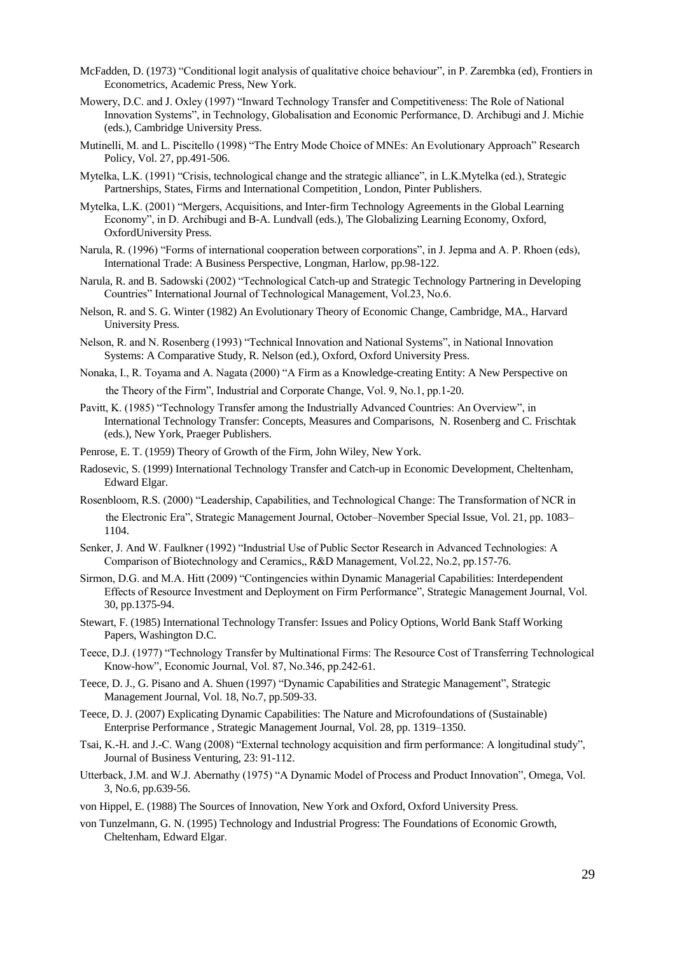- McFadden, D. (1973) "Conditional logit analysis of qualitative choice behaviour", in P. Zarembka (ed), Frontiers in Econometrics, Academic Press, New York.
- Mowery, D.C. and J. Oxley (1997) "Inward Technology Transfer and Competitiveness: The Role of National Innovation Systems", in Technology, Globalisation and Economic Performance, D. Archibugi and J. Michie (eds.), Cambridge University Press.
- Mutinelli, M. and L. Piscitello (1998) "The Entry Mode Choice of MNEs: An Evolutionary Approach" Research Policy, Vol. 27, pp.491-506.
- Mytelka, L.K. (1991) "Crisis, technological change and the strategic alliance", in L.K.Mytelka (ed.), Strategic Partnerships, States, Firms and International Competition¸ London, Pinter Publishers.
- Mytelka, L.K. (2001) "Mergers, Acquisitions, and Inter-firm Technology Agreements in the Global Learning Economy", in D. Archibugi and B-A. Lundvall (eds.), The Globalizing Learning Economy, Oxford, OxfordUniversity Press.
- Narula, R. (1996) "Forms of international cooperation between corporations", in J. Jepma and A. P. Rhoen (eds), International Trade: A Business Perspective, Longman, Harlow, pp.98-122.
- Narula, R. and B. Sadowski (2002) "Technological Catch-up and Strategic Technology Partnering in Developing Countries" International Journal of Technological Management, Vol.23, No.6.
- Nelson, R. and S. G. Winter (1982) An Evolutionary Theory of Economic Change, Cambridge, MA., Harvard University Press.
- Nelson, R. and N. Rosenberg (1993) "Technical Innovation and National Systems", in National Innovation Systems: A Comparative Study, R. Nelson (ed.), Oxford, Oxford University Press.
- Nonaka, I., R. Toyama and A. Nagata (2000) "A Firm as a Knowledge-creating Entity: A New Perspective on the Theory of the Firm", Industrial and Corporate Change, Vol. 9, No.1, pp.1-20.
- Pavitt, K. (1985) "Technology Transfer among the Industrially Advanced Countries: An Overview", in International Technology Transfer: Concepts, Measures and Comparisons, N. Rosenberg and C. Frischtak (eds.), New York, Praeger Publishers.
- Penrose, E. T. (1959) Theory of Growth of the Firm, John Wiley, New York.
- Radosevic, S. (1999) International Technology Transfer and Catch-up in Economic Development, Cheltenham, Edward Elgar.
- Rosenbloom, R.S. (2000) "Leadership, Capabilities, and Technological Change: The Transformation of NCR in the Electronic Era", Strategic Management Journal, October–November Special Issue, Vol. 21, pp. 1083– 1104.
- Senker, J. And W. Faulkner (1992) "Industrial Use of Public Sector Research in Advanced Technologies: A Comparison of Biotechnology and Ceramics, R&D Management, Vol.22, No.2, pp.157-76.
- Sirmon, D.G. and M.A. Hitt (2009) "Contingencies within Dynamic Managerial Capabilities: Interdependent Effects of Resource Investment and Deployment on Firm Performance", Strategic Management Journal, Vol. 30, pp.1375-94.
- Stewart, F. (1985) International Technology Transfer: Issues and Policy Options, World Bank Staff Working Papers, Washington D.C.
- Teece, D.J. (1977) "Technology Transfer by Multinational Firms: The Resource Cost of Transferring Technological Know-how", Economic Journal, Vol. 87, No.346, pp.242-61.
- Teece, D. J., G. Pisano and A. Shuen (1997) "Dynamic Capabilities and Strategic Management", Strategic Management Journal, Vol. 18, No.7, pp.509-33.
- Teece, D. J. (2007) Explicating Dynamic Capabilities: The Nature and Microfoundations of (Sustainable) Enterprise Performance , Strategic Management Journal, Vol. 28, pp. 1319–1350.
- Tsai, K.-H. and J.-C. Wang (2008) "External technology acquisition and firm performance: A longitudinal study", Journal of Business Venturing, 23: 91-112.
- Utterback, J.M. and W.J. Abernathy (1975) "A Dynamic Model of Process and Product Innovation", Omega, Vol. 3, No.6, pp.639-56.
- von Hippel, E. (1988) The Sources of Innovation, New York and Oxford, Oxford University Press.
- von Tunzelmann, G. N. (1995) Technology and Industrial Progress: The Foundations of Economic Growth, Cheltenham, Edward Elgar.